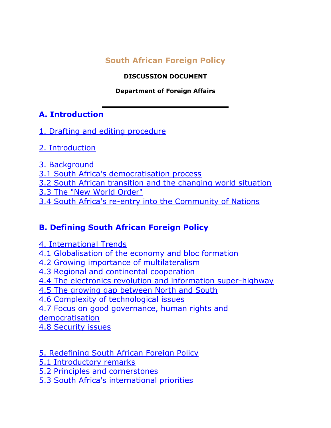# **South African Foreign Policy**

## **DISCUSSION DOCUMENT**

### **Department of Foreign Affairs**

# **[A. Introduction](http://www.info.gov.za/greenpapers/1996/foraf1.htm#A)**

- [1. Drafting and editing procedure](http://www.info.gov.za/greenpapers/1996/foraf1.htm#1)
- [2. Introduction](http://www.info.gov.za/greenpapers/1996/foraf1.htm#2)
- [3. Background](http://www.info.gov.za/greenpapers/1996/foraf1.htm#3)
- [3.1 South Africa's democratisation process](http://www.info.gov.za/greenpapers/1996/foraf1.htm#3)
- [3.2 South African transition and the changing world situation](http://www.info.gov.za/greenpapers/1996/foraf1.htm#3)
- [3.3 The "New World Order"](http://www.info.gov.za/greenpapers/1996/foraf1.htm#3.3)
- [3.4 South Africa's re-entry into the Community of Nations](http://www.info.gov.za/greenpapers/1996/foraf1.htm#3.3)

# **[B. Defining South African Foreign Policy](http://www.info.gov.za/greenpapers/1996/foraf1.htm#B)**

- [4. International Trends](http://www.info.gov.za/greenpapers/1996/foraf1.htm#B)
- [4.1 Globalisation of the economy and bloc formation](http://www.info.gov.za/greenpapers/1996/foraf1.htm#B)
- [4.2 Growing importance of multilateralism](http://www.info.gov.za/greenpapers/1996/foraf1.htm#4.2)
- [4.3 Regional and continental cooperation](http://www.info.gov.za/greenpapers/1996/foraf1.htm#4.2)
- [4.4 The electronics revolution and information super-highway](http://www.info.gov.za/greenpapers/1996/foraf1.htm#4.4)
- [4.5 The growing gap between North and South](http://www.info.gov.za/greenpapers/1996/foraf1.htm#4.4)
- [4.6 Complexity of technological issues](http://www.info.gov.za/greenpapers/1996/foraf1.htm#4.6)
- [4.7 Focus on good governance, human rights and](http://www.info.gov.za/greenpapers/1996/foraf1.htm#4.6)
- democratisation
- [4.8 Security issues](http://www.info.gov.za/greenpapers/1996/foraf1.htm#4.8)
- [5. Redefining South African Foreign Policy](http://www.info.gov.za/greenpapers/1996/foraf1.htm#5)
- [5.1 Introductory remarks](http://www.info.gov.za/greenpapers/1996/foraf1.htm#5)
- [5.2 Principles and cornerstones](http://www.info.gov.za/greenpapers/1996/foraf1.htm#5)
- [5.3 South Africa's international priorities](http://www.info.gov.za/greenpapers/1996/foraf1.htm#5.3)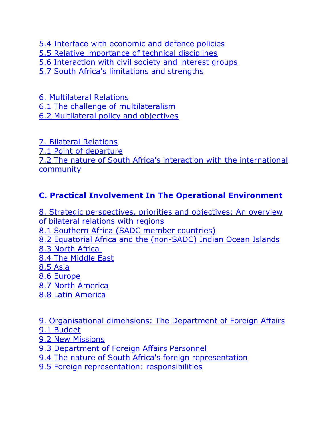[5.4 Interface with economic and defence policies](http://www.info.gov.za/greenpapers/1996/foraf1.htm#5.4) [5.5 Relative importance of technical disciplines](http://www.info.gov.za/greenpapers/1996/foraf1.htm#5.4) [5.6 Interaction with civil society and interest groups](http://www.info.gov.za/greenpapers/1996/foraf1.htm#5.6) [5.7 South Africa's limitations and strengths](http://www.info.gov.za/greenpapers/1996/foraf1.htm#5.6)

[6. Multilateral Relations](http://www.info.gov.za/greenpapers/1996/foraf1.htm#6) [6.1 The challenge of multilateralism](http://www.info.gov.za/greenpapers/1996/foraf1.htm#6) [6.2 Multilateral policy and objectives](http://www.info.gov.za/greenpapers/1996/foraf1.htm#6)

[7. Bilateral Relations](http://www.info.gov.za/greenpapers/1996/foraf1.htm#7) [7.1 Point of departure](http://www.info.gov.za/greenpapers/1996/foraf1.htm#7) [7.2 The nature of South Africa's interaction with the international](http://www.info.gov.za/greenpapers/1996/foraf1.htm#7)  community

# **[C. Practical Involvement In The Operational Environment](http://www.info.gov.za/greenpapers/1996/foraf1.htm#C)**

[8. Strategic perspectives, priorities and objectives: An overview](http://www.info.gov.za/greenpapers/1996/foraf1.htm#8)  [of bilateral relations with regions](http://www.info.gov.za/greenpapers/1996/foraf1.htm#8) [8.1 Southern Africa \(SADC member countries\)](http://www.info.gov.za/greenpapers/1996/foraf1.htm#8) [8.2 Equatorial Africa and the \(non-SADC\) Indian Ocean Islands](http://www.info.gov.za/greenpapers/1996/foraf1.htm#8) [8.3 North Africa](http://www.info.gov.za/greenpapers/1996/foraf1.htm#8.3) [8.4 The Middle East](http://www.info.gov.za/greenpapers/1996/foraf1.htm#8.3) [8.5 Asia](http://www.info.gov.za/greenpapers/1996/foraf1.htm#8.5) [8.6 Europe](http://www.info.gov.za/greenpapers/1996/foraf1.htm#8.5) [8.7 North America](http://www.info.gov.za/greenpapers/1996/foraf1.htm#8.7) [8.8 Latin America](http://www.info.gov.za/greenpapers/1996/foraf1.htm#8.7)

[9. Organisational dimensions: The Department of Foreign Affairs](http://www.info.gov.za/greenpapers/1996/foraf1.htm#9)

- [9.1 Budget](http://www.info.gov.za/greenpapers/1996/foraf1.htm#9)
- [9.2 New Missions](http://www.info.gov.za/greenpapers/1996/foraf1.htm#9)

[9.3 Department of Foreign Affairs Personnel](http://www.info.gov.za/greenpapers/1996/foraf1.htm#9.3)

[9.4 The nature of South Africa's foreign representation](http://www.info.gov.za/greenpapers/1996/foraf1.htm#9.3)

[9.5 Foreign representation: responsibilities](http://www.info.gov.za/greenpapers/1996/foraf1.htm#9.5)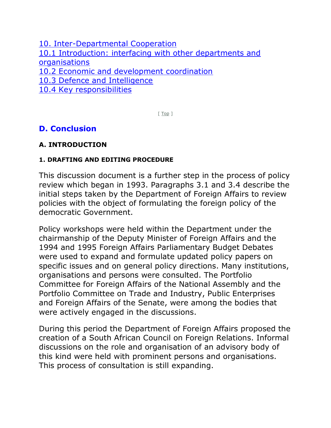[10. Inter-Departmental Cooperation](http://www.info.gov.za/greenpapers/1996/foraf1.htm#10) 10.1 Introduction: interfacing with other departments and [organisations](http://www.info.gov.za/greenpapers/1996/foraf1.htm#10) [10.2 Economic and development coordination](http://www.info.gov.za/greenpapers/1996/foraf1.htm#10) [10.3 Defence and Intelligence](http://www.info.gov.za/greenpapers/1996/foraf1.htm#10.3)

[10.4 Key responsibilities](http://www.info.gov.za/greenpapers/1996/foraf1.htm#10.3)

 $[$  [Top](http://www.info.gov.za/greenpapers/1996/foraf1.htm#top)  $]$ 

# **[D. Conclusion](http://www.info.gov.za/greenpapers/1996/foraf1.htm#D)**

# **A. INTRODUCTION**

# **1. DRAFTING AND EDITING PROCEDURE**

This discussion document is a further step in the process of policy review which began in 1993. Paragraphs 3.1 and 3.4 describe the initial steps taken by the Department of Foreign Affairs to review policies with the object of formulating the foreign policy of the democratic Government.

Policy workshops were held within the Department under the chairmanship of the Deputy Minister of Foreign Affairs and the 1994 and 1995 Foreign Affairs Parliamentary Budget Debates were used to expand and formulate updated policy papers on specific issues and on general policy directions. Many institutions, organisations and persons were consulted. The Portfolio Committee for Foreign Affairs of the National Assembly and the Portfolio Committee on Trade and Industry, Public Enterprises and Foreign Affairs of the Senate, were among the bodies that were actively engaged in the discussions.

During this period the Department of Foreign Affairs proposed the creation of a South African Council on Foreign Relations. Informal discussions on the role and organisation of an advisory body of this kind were held with prominent persons and organisations. This process of consultation is still expanding.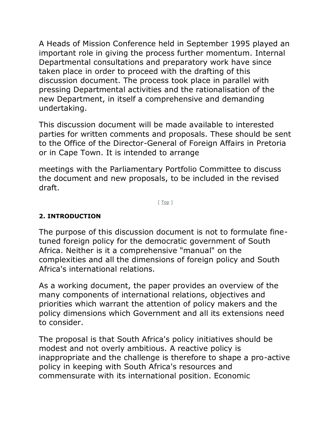A Heads of Mission Conference held in September 1995 played an important role in giving the process further momentum. Internal Departmental consultations and preparatory work have since taken place in order to proceed with the drafting of this discussion document. The process took place in parallel with pressing Departmental activities and the rationalisation of the new Department, in itself a comprehensive and demanding undertaking.

This discussion document will be made available to interested parties for written comments and proposals. These should be sent to the Office of the Director-General of Foreign Affairs in Pretoria or in Cape Town. It is intended to arrange

meetings with the Parliamentary Portfolio Committee to discuss the document and new proposals, to be included in the revised draft.

[ [Top](http://www.info.gov.za/greenpapers/1996/foraf1.htm#top) ]

## **2. INTRODUCTION**

The purpose of this discussion document is not to formulate finetuned foreign policy for the democratic government of South Africa. Neither is it a comprehensive "manual" on the complexities and all the dimensions of foreign policy and South Africa's international relations.

As a working document, the paper provides an overview of the many components of international relations, objectives and priorities which warrant the attention of policy makers and the policy dimensions which Government and all its extensions need to consider.

The proposal is that South Africa's policy initiatives should be modest and not overly ambitious. A reactive policy is inappropriate and the challenge is therefore to shape a pro-active policy in keeping with South Africa's resources and commensurate with its international position. Economic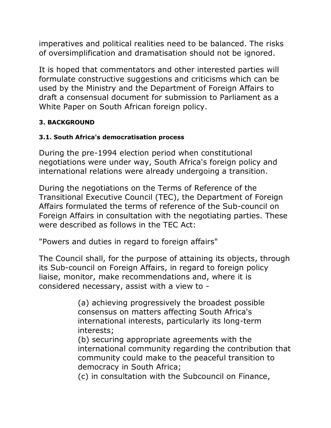imperatives and political realities need to be balanced. The risks of oversimplification and dramatisation should not be ignored.

It is hoped that commentators and other interested parties will formulate constructive suggestions and criticisms which can be used by the Ministry and the Department of Foreign Affairs to draft a consensual document for submission to Parliament as a White Paper on South African foreign policy.

# **3. BACKGROUND**

# **3.1. South Africa's democratisation process**

During the pre-1994 election period when constitutional negotiations were under way, South Africa's foreign policy and international relations were already undergoing a transition.

During the negotiations on the Terms of Reference of the Transitional Executive Council (TEC), the Department of Foreign Affairs formulated the terms of reference of the Sub-council on Foreign Affairs in consultation with the negotiating parties. These were described as follows in the TEC Act:

"Powers and duties in regard to foreign affairs"

The Council shall, for the purpose of attaining its objects, through its Sub-council on Foreign Affairs, in regard to foreign policy liaise, monitor, make recommendations and, where it is considered necessary, assist with a view to -

> (a) achieving progressively the broadest possible consensus on matters affecting South Africa's international interests, particularly its long-term interests;

(b) securing appropriate agreements with the international community regarding the contribution that community could make to the peaceful transition to democracy in South Africa;

(c) in consultation with the Subcouncil on Finance,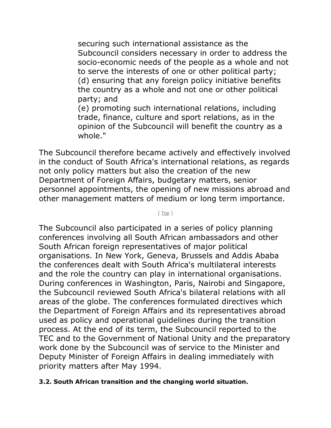securing such international assistance as the Subcouncil considers necessary in order to address the socio-economic needs of the people as a whole and not to serve the interests of one or other political party; (d) ensuring that any foreign policy initiative benefits the country as a whole and not one or other political party; and (e) promoting such international relations, including

trade, finance, culture and sport relations, as in the opinion of the Subcouncil will benefit the country as a whole."

The Subcouncil therefore became actively and effectively involved in the conduct of South Africa's international relations, as regards not only policy matters but also the creation of the new Department of Foreign Affairs, budgetary matters, senior personnel appointments, the opening of new missions abroad and other management matters of medium or long term importance.

[ [Top](http://www.info.gov.za/greenpapers/1996/foraf1.htm#top) ]

The Subcouncil also participated in a series of policy planning conferences involving all South African ambassadors and other South African foreign representatives of major political organisations. In New York, Geneva, Brussels and Addis Ababa the conferences dealt with South Africa's multilateral interests and the role the country can play in international organisations. During conferences in Washington, Paris, Nairobi and Singapore, the Subcouncil reviewed South Africa's bilateral relations with all areas of the globe. The conferences formulated directives which the Department of Foreign Affairs and its representatives abroad used as policy and operational guidelines during the transition process. At the end of its term, the Subcouncil reported to the TEC and to the Government of National Unity and the preparatory work done by the Subcouncil was of service to the Minister and Deputy Minister of Foreign Affairs in dealing immediately with priority matters after May 1994.

#### **3.2. South African transition and the changing world situation.**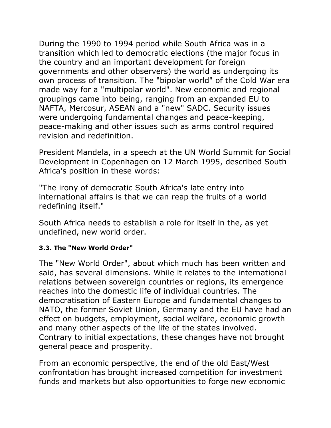During the 1990 to 1994 period while South Africa was in a transition which led to democratic elections (the major focus in the country and an important development for foreign governments and other observers) the world as undergoing its own process of transition. The "bipolar world" of the Cold War era made way for a "multipolar world". New economic and regional groupings came into being, ranging from an expanded EU to NAFTA, Mercosur, ASEAN and a "new" SADC. Security issues were undergoing fundamental changes and peace-keeping, peace-making and other issues such as arms control required revision and redefinition.

President Mandela, in a speech at the UN World Summit for Social Development in Copenhagen on 12 March 1995, described South Africa's position in these words:

"The irony of democratic South Africa's late entry into international affairs is that we can reap the fruits of a world redefining itself."

South Africa needs to establish a role for itself in the, as yet undefined, new world order.

# **3.3. The "New World Order"**

The "New World Order", about which much has been written and said, has several dimensions. While it relates to the international relations between sovereign countries or regions, its emergence reaches into the domestic life of individual countries. The democratisation of Eastern Europe and fundamental changes to NATO, the former Soviet Union, Germany and the EU have had an effect on budgets, employment, social welfare, economic growth and many other aspects of the life of the states involved. Contrary to initial expectations, these changes have not brought general peace and prosperity.

From an economic perspective, the end of the old East/West confrontation has brought increased competition for investment funds and markets but also opportunities to forge new economic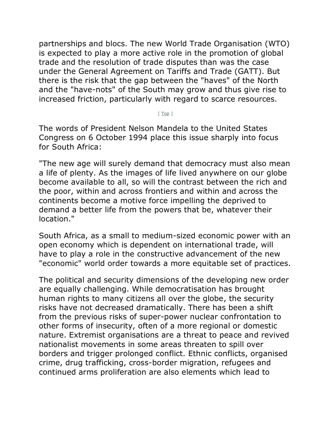partnerships and blocs. The new World Trade Organisation (WTO) is expected to play a more active role in the promotion of global trade and the resolution of trade disputes than was the case under the General Agreement on Tariffs and Trade (GATT). But there is the risk that the gap between the "haves" of the North and the "have-nots" of the South may grow and thus give rise to increased friction, particularly with regard to scarce resources.

[ [Top](http://www.info.gov.za/greenpapers/1996/foraf1.htm#top) ]

The words of President Nelson Mandela to the United States Congress on 6 October 1994 place this issue sharply into focus for South Africa:

"The new age will surely demand that democracy must also mean a life of plenty. As the images of life lived anywhere on our globe become available to all, so will the contrast between the rich and the poor, within and across frontiers and within and across the continents become a motive force impelling the deprived to demand a better life from the powers that be, whatever their location."

South Africa, as a small to medium-sized economic power with an open economy which is dependent on international trade, will have to play a role in the constructive advancement of the new "economic" world order towards a more equitable set of practices.

The political and security dimensions of the developing new order are equally challenging. While democratisation has brought human rights to many citizens all over the globe, the security risks have not decreased dramatically. There has been a shift from the previous risks of super-power nuclear confrontation to other forms of insecurity, often of a more regional or domestic nature. Extremist organisations are a threat to peace and revived nationalist movements in some areas threaten to spill over borders and trigger prolonged conflict. Ethnic conflicts, organised crime, drug trafficking, cross-border migration, refugees and continued arms proliferation are also elements which lead to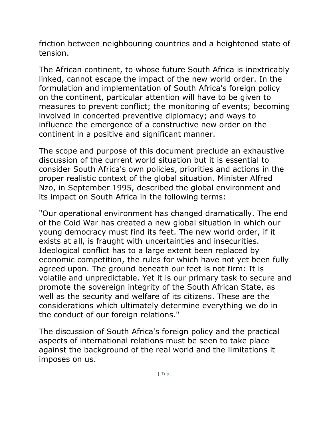friction between neighbouring countries and a heightened state of tension.

The African continent, to whose future South Africa is inextricably linked, cannot escape the impact of the new world order. In the formulation and implementation of South Africa's foreign policy on the continent, particular attention will have to be given to measures to prevent conflict; the monitoring of events; becoming involved in concerted preventive diplomacy; and ways to influence the emergence of a constructive new order on the continent in a positive and significant manner.

The scope and purpose of this document preclude an exhaustive discussion of the current world situation but it is essential to consider South Africa's own policies, priorities and actions in the proper realistic context of the global situation. Minister Alfred Nzo, in September 1995, described the global environment and its impact on South Africa in the following terms:

"Our operational environment has changed dramatically. The end of the Cold War has created a new global situation in which our young democracy must find its feet. The new world order, if it exists at all, is fraught with uncertainties and insecurities. Ideological conflict has to a large extent been replaced by economic competition, the rules for which have not yet been fully agreed upon. The ground beneath our feet is not firm: It is volatile and unpredictable. Yet it is our primary task to secure and promote the sovereign integrity of the South African State, as well as the security and welfare of its citizens. These are the considerations which ultimately determine everything we do in the conduct of our foreign relations."

The discussion of South Africa's foreign policy and the practical aspects of international relations must be seen to take place against the background of the real world and the limitations it imposes on us.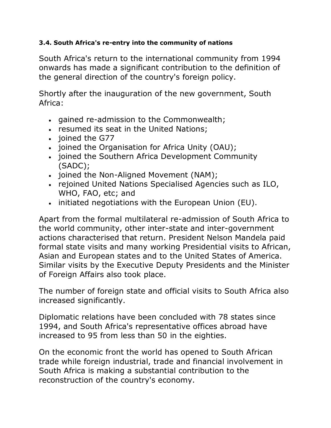## **3.4. South Africa's re-entry into the community of nations**

South Africa's return to the international community from 1994 onwards has made a significant contribution to the definition of the general direction of the country's foreign policy.

Shortly after the inauguration of the new government, South Africa:

- gained re-admission to the Commonwealth;
- resumed its seat in the United Nations;
- joined the G77
- joined the Organisation for Africa Unity (OAU);
- joined the Southern Africa Development Community (SADC);
- joined the Non-Aligned Movement (NAM);
- rejoined United Nations Specialised Agencies such as ILO, WHO, FAO, etc; and
- initiated negotiations with the European Union (EU).

Apart from the formal multilateral re-admission of South Africa to the world community, other inter-state and inter-government actions characterised that return. President Nelson Mandela paid formal state visits and many working Presidential visits to African, Asian and European states and to the United States of America. Similar visits by the Executive Deputy Presidents and the Minister of Foreign Affairs also took place.

The number of foreign state and official visits to South Africa also increased significantly.

Diplomatic relations have been concluded with 78 states since 1994, and South Africa's representative offices abroad have increased to 95 from less than 50 in the eighties.

On the economic front the world has opened to South African trade while foreign industrial, trade and financial involvement in South Africa is making a substantial contribution to the reconstruction of the country's economy.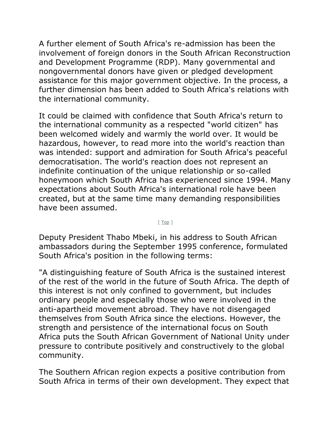A further element of South Africa's re-admission has been the involvement of foreign donors in the South African Reconstruction and Development Programme (RDP). Many governmental and nongovernmental donors have given or pledged development assistance for this major government objective. In the process, a further dimension has been added to South Africa's relations with the international community.

It could be claimed with confidence that South Africa's return to the international community as a respected "world citizen" has been welcomed widely and warmly the world over. It would be hazardous, however, to read more into the world's reaction than was intended: support and admiration for South Africa's peaceful democratisation. The world's reaction does not represent an indefinite continuation of the unique relationship or so-called honeymoon which South Africa has experienced since 1994. Many expectations about South Africa's international role have been created, but at the same time many demanding responsibilities have been assumed.

#### $[Top]$  $[Top]$  $[Top]$

Deputy President Thabo Mbeki, in his address to South African ambassadors during the September 1995 conference, formulated South Africa's position in the following terms:

"A distinguishing feature of South Africa is the sustained interest of the rest of the world in the future of South Africa. The depth of this interest is not only confined to government, but includes ordinary people and especially those who were involved in the anti-apartheid movement abroad. They have not disengaged themselves from South Africa since the elections. However, the strength and persistence of the international focus on South Africa puts the South African Government of National Unity under pressure to contribute positively and constructively to the global community.

The Southern African region expects a positive contribution from South Africa in terms of their own development. They expect that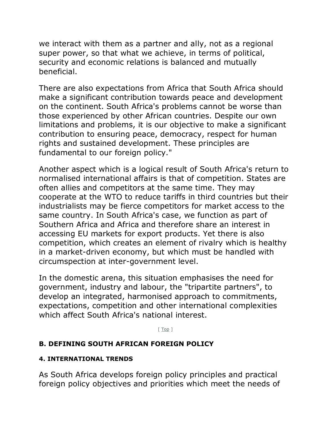we interact with them as a partner and ally, not as a regional super power, so that what we achieve, in terms of political, security and economic relations is balanced and mutually beneficial.

There are also expectations from Africa that South Africa should make a significant contribution towards peace and development on the continent. South Africa's problems cannot be worse than those experienced by other African countries. Despite our own limitations and problems, it is our objective to make a significant contribution to ensuring peace, democracy, respect for human rights and sustained development. These principles are fundamental to our foreign policy."

Another aspect which is a logical result of South Africa's return to normalised international affairs is that of competition. States are often allies and competitors at the same time. They may cooperate at the WTO to reduce tariffs in third countries but their industrialists may be fierce competitors for market access to the same country. In South Africa's case, we function as part of Southern Africa and Africa and therefore share an interest in accessing EU markets for export products. Yet there is also competition, which creates an element of rivalry which is healthy in a market-driven economy, but which must be handled with circumspection at inter-government level.

In the domestic arena, this situation emphasises the need for government, industry and labour, the "tripartite partners", to develop an integrated, harmonised approach to commitments, expectations, competition and other international complexities which affect South Africa's national interest.

[ [Top](http://www.info.gov.za/greenpapers/1996/foraf1.htm#top) ]

# **B. DEFINING SOUTH AFRICAN FOREIGN POLICY**

# **4. INTERNATIONAL TRENDS**

As South Africa develops foreign policy principles and practical foreign policy objectives and priorities which meet the needs of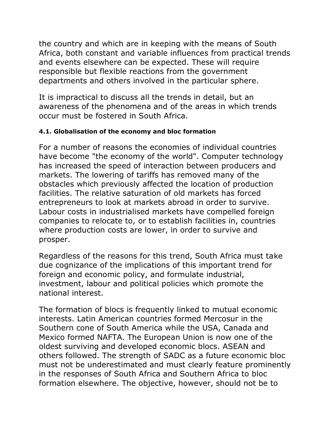the country and which are in keeping with the means of South Africa, both constant and variable influences from practical trends and events elsewhere can be expected. These will require responsible but flexible reactions from the government departments and others involved in the particular sphere.

It is impractical to discuss all the trends in detail, but an awareness of the phenomena and of the areas in which trends occur must be fostered in South Africa.

# **4.1. Globalisation of the economy and bloc formation**

For a number of reasons the economies of individual countries have become "the economy of the world". Computer technology has increased the speed of interaction between producers and markets. The lowering of tariffs has removed many of the obstacles which previously affected the location of production facilities. The relative saturation of old markets has forced entrepreneurs to look at markets abroad in order to survive. Labour costs in industrialised markets have compelled foreign companies to relocate to, or to establish facilities in, countries where production costs are lower, in order to survive and prosper.

Regardless of the reasons for this trend, South Africa must take due cognizance of the implications of this important trend for foreign and economic policy, and formulate industrial, investment, labour and political policies which promote the national interest.

The formation of blocs is frequently linked to mutual economic interests. Latin American countries formed Mercosur in the Southern cone of South America while the USA, Canada and Mexico formed NAFTA. The European Union is now one of the oldest surviving and developed economic blocs. ASEAN and others followed. The strength of SADC as a future economic bloc must not be underestimated and must clearly feature prominently in the responses of South Africa and Southern Africa to bloc formation elsewhere. The objective, however, should not be to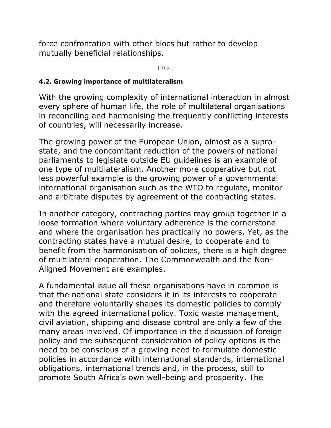force confrontation with other blocs but rather to develop mutually beneficial relationships.

[ [Top](http://www.info.gov.za/greenpapers/1996/foraf1.htm#top) ]

#### **4.2. Growing importance of multilateralism**

With the growing complexity of international interaction in almost every sphere of human life, the role of multilateral organisations in reconciling and harmonising the frequently conflicting interests of countries, will necessarily increase.

The growing power of the European Union, almost as a suprastate, and the concomitant reduction of the powers of national parliaments to legislate outside EU guidelines is an example of one type of multilateralism. Another more cooperative but not less powerful example is the growing power of a governmental international organisation such as the WTO to regulate, monitor and arbitrate disputes by agreement of the contracting states.

In another category, contracting parties may group together in a loose formation where voluntary adherence is the cornerstone and where the organisation has practically no powers. Yet, as the contracting states have a mutual desire, to cooperate and to benefit from the harmonisation of policies, there is a high degree of multilateral cooperation. The Commonwealth and the Non-Aligned Movement are examples.

A fundamental issue all these organisations have in common is that the national state considers it in its interests to cooperate and therefore voluntarily shapes its domestic policies to comply with the agreed international policy. Toxic waste management, civil aviation, shipping and disease control are only a few of the many areas involved. Of importance in the discussion of foreign policy and the subsequent consideration of policy options is the need to be conscious of a growing need to formulate domestic policies in accordance with international standards, international obligations, international trends and, in the process, still to promote South Africa's own well-being and prosperity. The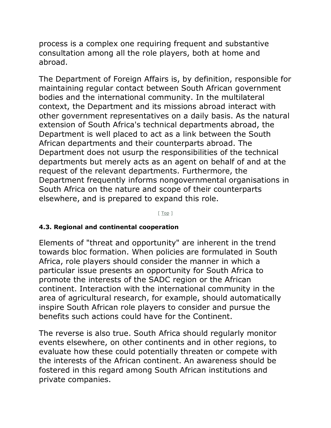process is a complex one requiring frequent and substantive consultation among all the role players, both at home and abroad.

The Department of Foreign Affairs is, by definition, responsible for maintaining regular contact between South African government bodies and the international community. In the multilateral context, the Department and its missions abroad interact with other government representatives on a daily basis. As the natural extension of South Africa's technical departments abroad, the Department is well placed to act as a link between the South African departments and their counterparts abroad. The Department does not usurp the responsibilities of the technical departments but merely acts as an agent on behalf of and at the request of the relevant departments. Furthermore, the Department frequently informs nongovernmental organisations in South Africa on the nature and scope of their counterparts elsewhere, and is prepared to expand this role.

[ [Top](http://www.info.gov.za/greenpapers/1996/foraf1.htm#top) ]

### **4.3. Regional and continental cooperation**

Elements of "threat and opportunity" are inherent in the trend towards bloc formation. When policies are formulated in South Africa, role players should consider the manner in which a particular issue presents an opportunity for South Africa to promote the interests of the SADC region or the African continent. Interaction with the international community in the area of agricultural research, for example, should automatically inspire South African role players to consider and pursue the benefits such actions could have for the Continent.

The reverse is also true. South Africa should regularly monitor events elsewhere, on other continents and in other regions, to evaluate how these could potentially threaten or compete with the interests of the African continent. An awareness should be fostered in this regard among South African institutions and private companies.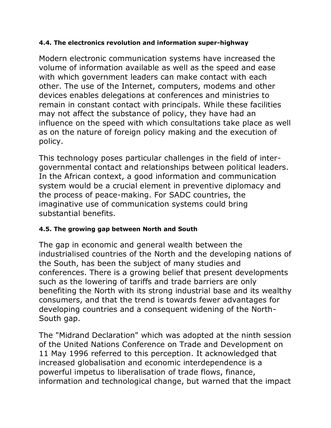## **4.4. The electronics revolution and information super-highway**

Modern electronic communication systems have increased the volume of information available as well as the speed and ease with which government leaders can make contact with each other. The use of the Internet, computers, modems and other devices enables delegations at conferences and ministries to remain in constant contact with principals. While these facilities may not affect the substance of policy, they have had an influence on the speed with which consultations take place as well as on the nature of foreign policy making and the execution of policy.

This technology poses particular challenges in the field of intergovernmental contact and relationships between political leaders. In the African context, a good information and communication system would be a crucial element in preventive diplomacy and the process of peace-making. For SADC countries, the imaginative use of communication systems could bring substantial benefits.

# **4.5. The growing gap between North and South**

The gap in economic and general wealth between the industrialised countries of the North and the developing nations of the South, has been the subject of many studies and conferences. There is a growing belief that present developments such as the lowering of tariffs and trade barriers are only benefiting the North with its strong industrial base and its wealthy consumers, and that the trend is towards fewer advantages for developing countries and a consequent widening of the North-South gap.

The "Midrand Declaration" which was adopted at the ninth session of the United Nations Conference on Trade and Development on 11 May 1996 referred to this perception. It acknowledged that increased globalisation and economic interdependence is a powerful impetus to liberalisation of trade flows, finance, information and technological change, but warned that the impact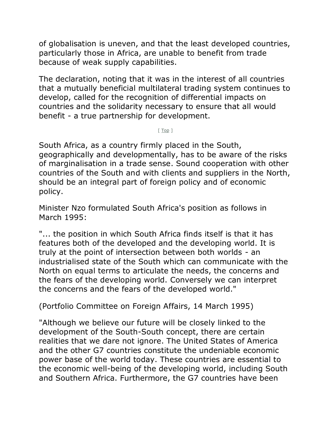of globalisation is uneven, and that the least developed countries, particularly those in Africa, are unable to benefit from trade because of weak supply capabilities.

The declaration, noting that it was in the interest of all countries that a mutually beneficial multilateral trading system continues to develop, called for the recognition of differential impacts on countries and the solidarity necessary to ensure that all would benefit - a true partnership for development.

[ [Top](http://www.info.gov.za/greenpapers/1996/foraf1.htm#top) ]

South Africa, as a country firmly placed in the South, geographically and developmentally, has to be aware of the risks of marginalisation in a trade sense. Sound cooperation with other countries of the South and with clients and suppliers in the North, should be an integral part of foreign policy and of economic policy.

Minister Nzo formulated South Africa's position as follows in March 1995:

"... the position in which South Africa finds itself is that it has features both of the developed and the developing world. It is truly at the point of intersection between both worlds - an industrialised state of the South which can communicate with the North on equal terms to articulate the needs, the concerns and the fears of the developing world. Conversely we can interpret the concerns and the fears of the developed world."

(Portfolio Committee on Foreign Affairs, 14 March 1995)

"Although we believe our future will be closely linked to the development of the South-South concept, there are certain realities that we dare not ignore. The United States of America and the other G7 countries constitute the undeniable economic power base of the world today. These countries are essential to the economic well-being of the developing world, including South and Southern Africa. Furthermore, the G7 countries have been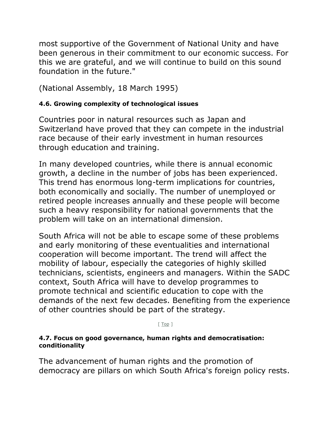most supportive of the Government of National Unity and have been generous in their commitment to our economic success. For this we are grateful, and we will continue to build on this sound foundation in the future."

(National Assembly, 18 March 1995)

# **4.6. Growing complexity of technological issues**

Countries poor in natural resources such as Japan and Switzerland have proved that they can compete in the industrial race because of their early investment in human resources through education and training.

In many developed countries, while there is annual economic growth, a decline in the number of jobs has been experienced. This trend has enormous long-term implications for countries, both economically and socially. The number of unemployed or retired people increases annually and these people will become such a heavy responsibility for national governments that the problem will take on an international dimension.

South Africa will not be able to escape some of these problems and early monitoring of these eventualities and international cooperation will become important. The trend will affect the mobility of labour, especially the categories of highly skilled technicians, scientists, engineers and managers. Within the SADC context, South Africa will have to develop programmes to promote technical and scientific education to cope with the demands of the next few decades. Benefiting from the experience of other countries should be part of the strategy.

 $[Top]$  $[Top]$  $[Top]$ 

#### **4.7. Focus on good governance, human rights and democratisation: conditionality**

The advancement of human rights and the promotion of democracy are pillars on which South Africa's foreign policy rests.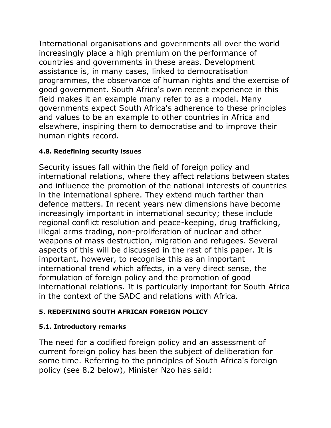International organisations and governments all over the world increasingly place a high premium on the performance of countries and governments in these areas. Development assistance is, in many cases, linked to democratisation programmes, the observance of human rights and the exercise of good government. South Africa's own recent experience in this field makes it an example many refer to as a model. Many governments expect South Africa's adherence to these principles and values to be an example to other countries in Africa and elsewhere, inspiring them to democratise and to improve their human rights record.

# **4.8. Redefining security issues**

Security issues fall within the field of foreign policy and international relations, where they affect relations between states and influence the promotion of the national interests of countries in the international sphere. They extend much farther than defence matters. In recent years new dimensions have become increasingly important in international security; these include regional conflict resolution and peace-keeping, drug trafficking, illegal arms trading, non-proliferation of nuclear and other weapons of mass destruction, migration and refugees. Several aspects of this will be discussed in the rest of this paper. It is important, however, to recognise this as an important international trend which affects, in a very direct sense, the formulation of foreign policy and the promotion of good international relations. It is particularly important for South Africa in the context of the SADC and relations with Africa.

# **5. REDEFINING SOUTH AFRICAN FOREIGN POLICY**

# **5.1. Introductory remarks**

The need for a codified foreign policy and an assessment of current foreign policy has been the subject of deliberation for some time. Referring to the principles of South Africa's foreign policy (see 8.2 below), Minister Nzo has said: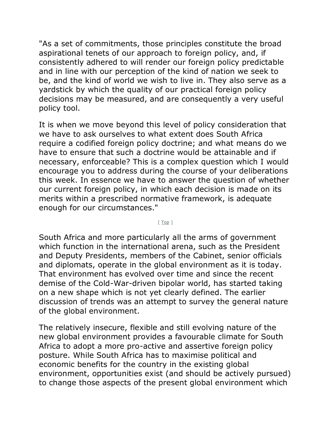"As a set of commitments, those principles constitute the broad aspirational tenets of our approach to foreign policy, and, if consistently adhered to will render our foreign policy predictable and in line with our perception of the kind of nation we seek to be, and the kind of world we wish to live in. They also serve as a yardstick by which the quality of our practical foreign policy decisions may be measured, and are consequently a very useful policy tool.

It is when we move beyond this level of policy consideration that we have to ask ourselves to what extent does South Africa require a codified foreign policy doctrine; and what means do we have to ensure that such a doctrine would be attainable and if necessary, enforceable? This is a complex question which I would encourage you to address during the course of your deliberations this week. In essence we have to answer the question of whether our current foreign policy, in which each decision is made on its merits within a prescribed normative framework, is adequate enough for our circumstances."

#### [ [Top](http://www.info.gov.za/greenpapers/1996/foraf1.htm#top) ]

South Africa and more particularly all the arms of government which function in the international arena, such as the President and Deputy Presidents, members of the Cabinet, senior officials and diplomats, operate in the global environment as it is today. That environment has evolved over time and since the recent demise of the Cold-War-driven bipolar world, has started taking on a new shape which is not yet clearly defined. The earlier discussion of trends was an attempt to survey the general nature of the global environment.

The relatively insecure, flexible and still evolving nature of the new global environment provides a favourable climate for South Africa to adopt a more pro-active and assertive foreign policy posture. While South Africa has to maximise political and economic benefits for the country in the existing global environment, opportunities exist (and should be actively pursued) to change those aspects of the present global environment which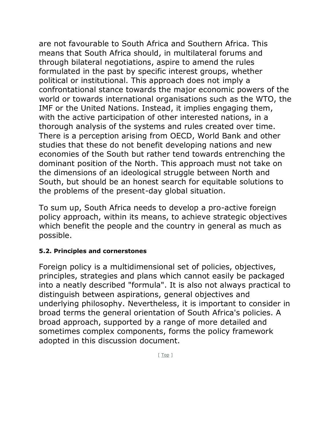are not favourable to South Africa and Southern Africa. This means that South Africa should, in multilateral forums and through bilateral negotiations, aspire to amend the rules formulated in the past by specific interest groups, whether political or institutional. This approach does not imply a confrontational stance towards the major economic powers of the world or towards international organisations such as the WTO, the IMF or the United Nations. Instead, it implies engaging them, with the active participation of other interested nations, in a thorough analysis of the systems and rules created over time. There is a perception arising from OECD, World Bank and other studies that these do not benefit developing nations and new economies of the South but rather tend towards entrenching the dominant position of the North. This approach must not take on the dimensions of an ideological struggle between North and South, but should be an honest search for equitable solutions to the problems of the present-day global situation.

To sum up, South Africa needs to develop a pro-active foreign policy approach, within its means, to achieve strategic objectives which benefit the people and the country in general as much as possible.

# **5.2. Principles and cornerstones**

Foreign policy is a multidimensional set of policies, objectives, principles, strategies and plans which cannot easily be packaged into a neatly described "formula". It is also not always practical to distinguish between aspirations, general objectives and underlying philosophy. Nevertheless, it is important to consider in broad terms the general orientation of South Africa's policies. A broad approach, supported by a range of more detailed and sometimes complex components, forms the policy framework adopted in this discussion document.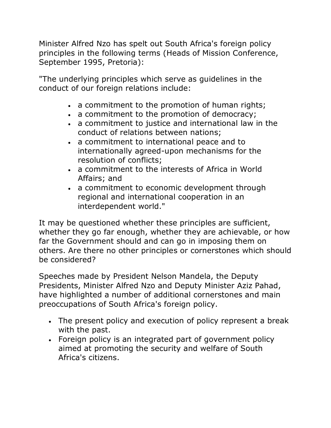Minister Alfred Nzo has spelt out South Africa's foreign policy principles in the following terms (Heads of Mission Conference, September 1995, Pretoria):

"The underlying principles which serve as guidelines in the conduct of our foreign relations include:

- a commitment to the promotion of human rights;
- a commitment to the promotion of democracy;
- a commitment to justice and international law in the conduct of relations between nations;
- a commitment to international peace and to internationally agreed-upon mechanisms for the resolution of conflicts;
- a commitment to the interests of Africa in World Affairs; and
- a commitment to economic development through regional and international cooperation in an interdependent world."

It may be questioned whether these principles are sufficient, whether they go far enough, whether they are achievable, or how far the Government should and can go in imposing them on others. Are there no other principles or cornerstones which should be considered?

Speeches made by President Nelson Mandela, the Deputy Presidents, Minister Alfred Nzo and Deputy Minister Aziz Pahad, have highlighted a number of additional cornerstones and main preoccupations of South Africa's foreign policy.

- The present policy and execution of policy represent a break with the past.
- Foreign policy is an integrated part of government policy aimed at promoting the security and welfare of South Africa's citizens.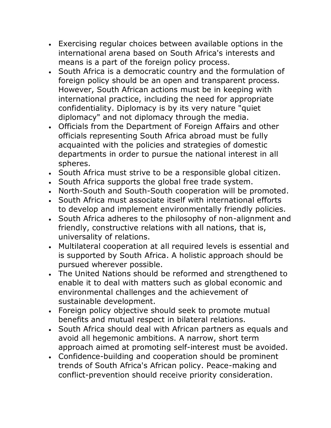- Exercising regular choices between available options in the international arena based on South Africa's interests and means is a part of the foreign policy process.
- South Africa is a democratic country and the formulation of foreign policy should be an open and transparent process. However, South African actions must be in keeping with international practice, including the need for appropriate confidentiality. Diplomacy is by its very nature "quiet diplomacy" and not diplomacy through the media.
- Officials from the Department of Foreign Affairs and other officials representing South Africa abroad must be fully acquainted with the policies and strategies of domestic departments in order to pursue the national interest in all spheres.
- South Africa must strive to be a responsible global citizen.
- South Africa supports the global free trade system.
- North-South and South-South cooperation will be promoted.
- South Africa must associate itself with international efforts to develop and implement environmentally friendly policies.
- South Africa adheres to the philosophy of non-alignment and friendly, constructive relations with all nations, that is, universality of relations.
- Multilateral cooperation at all required levels is essential and is supported by South Africa. A holistic approach should be pursued wherever possible.
- The United Nations should be reformed and strengthened to enable it to deal with matters such as global economic and environmental challenges and the achievement of sustainable development.
- Foreign policy objective should seek to promote mutual benefits and mutual respect in bilateral relations.
- South Africa should deal with African partners as equals and avoid all hegemonic ambitions. A narrow, short term approach aimed at promoting self-interest must be avoided.
- Confidence-building and cooperation should be prominent trends of South Africa's African policy. Peace-making and conflict-prevention should receive priority consideration.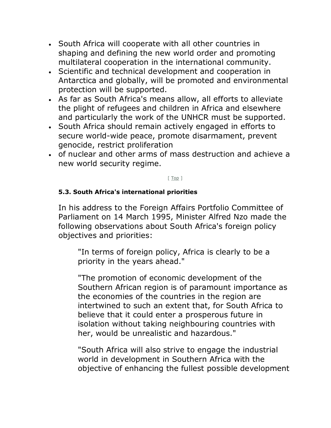- South Africa will cooperate with all other countries in shaping and defining the new world order and promoting multilateral cooperation in the international community.
- Scientific and technical development and cooperation in Antarctica and globally, will be promoted and environmental protection will be supported.
- As far as South Africa's means allow, all efforts to alleviate the plight of refugees and children in Africa and elsewhere and particularly the work of the UNHCR must be supported.
- South Africa should remain actively engaged in efforts to secure world-wide peace, promote disarmament, prevent genocide, restrict proliferation
- of nuclear and other arms of mass destruction and achieve a new world security regime.

[ [Top](http://www.info.gov.za/greenpapers/1996/foraf1.htm#top) ]

#### **5.3. South Africa's international priorities**

In his address to the Foreign Affairs Portfolio Committee of Parliament on 14 March 1995, Minister Alfred Nzo made the following observations about South Africa's foreign policy objectives and priorities:

"In terms of foreign policy, Africa is clearly to be a priority in the years ahead."

"The promotion of economic development of the Southern African region is of paramount importance as the economies of the countries in the region are intertwined to such an extent that, for South Africa to believe that it could enter a prosperous future in isolation without taking neighbouring countries with her, would be unrealistic and hazardous."

"South Africa will also strive to engage the industrial world in development in Southern Africa with the objective of enhancing the fullest possible development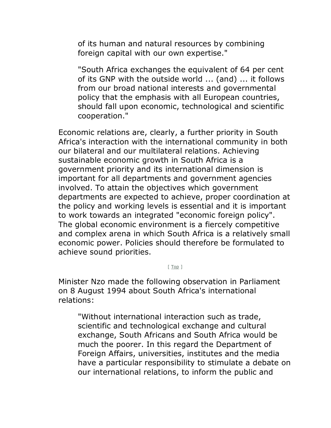of its human and natural resources by combining foreign capital with our own expertise."

"South Africa exchanges the equivalent of 64 per cent of its GNP with the outside world ... (and) ... it follows from our broad national interests and governmental policy that the emphasis with all European countries, should fall upon economic, technological and scientific cooperation."

Economic relations are, clearly, a further priority in South Africa's interaction with the international community in both our bilateral and our multilateral relations. Achieving sustainable economic growth in South Africa is a government priority and its international dimension is important for all departments and government agencies involved. To attain the objectives which government departments are expected to achieve, proper coordination at the policy and working levels is essential and it is important to work towards an integrated "economic foreign policy". The global economic environment is a fiercely competitive and complex arena in which South Africa is a relatively small economic power. Policies should therefore be formulated to achieve sound priorities.

[ [Top](http://www.info.gov.za/greenpapers/1996/foraf1.htm#top) ]

Minister Nzo made the following observation in Parliament on 8 August 1994 about South Africa's international relations:

"Without international interaction such as trade, scientific and technological exchange and cultural exchange, South Africans and South Africa would be much the poorer. In this regard the Department of Foreign Affairs, universities, institutes and the media have a particular responsibility to stimulate a debate on our international relations, to inform the public and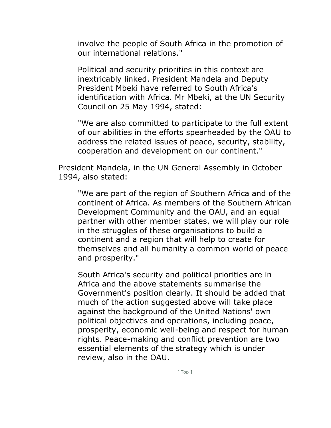involve the people of South Africa in the promotion of our international relations."

Political and security priorities in this context are inextricably linked. President Mandela and Deputy President Mbeki have referred to South Africa's identification with Africa. Mr Mbeki, at the UN Security Council on 25 May 1994, stated:

"We are also committed to participate to the full extent of our abilities in the efforts spearheaded by the OAU to address the related issues of peace, security, stability, cooperation and development on our continent."

President Mandela, in the UN General Assembly in October 1994, also stated:

"We are part of the region of Southern Africa and of the continent of Africa. As members of the Southern African Development Community and the OAU, and an equal partner with other member states, we will play our role in the struggles of these organisations to build a continent and a region that will help to create for themselves and all humanity a common world of peace and prosperity."

South Africa's security and political priorities are in Africa and the above statements summarise the Government's position clearly. It should be added that much of the action suggested above will take place against the background of the United Nations' own political objectives and operations, including peace, prosperity, economic well-being and respect for human rights. Peace-making and conflict prevention are two essential elements of the strategy which is under review, also in the OAU.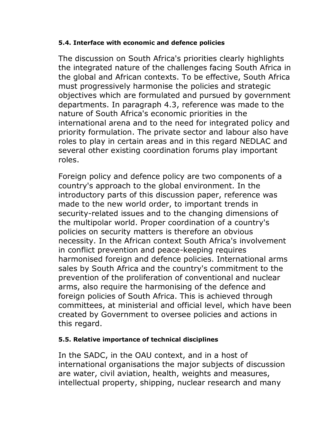### **5.4. Interface with economic and defence policies**

The discussion on South Africa's priorities clearly highlights the integrated nature of the challenges facing South Africa in the global and African contexts. To be effective, South Africa must progressively harmonise the policies and strategic objectives which are formulated and pursued by government departments. In paragraph 4.3, reference was made to the nature of South Africa's economic priorities in the international arena and to the need for integrated policy and priority formulation. The private sector and labour also have roles to play in certain areas and in this regard NEDLAC and several other existing coordination forums play important roles.

Foreign policy and defence policy are two components of a country's approach to the global environment. In the introductory parts of this discussion paper, reference was made to the new world order, to important trends in security-related issues and to the changing dimensions of the multipolar world. Proper coordination of a country's policies on security matters is therefore an obvious necessity. In the African context South Africa's involvement in conflict prevention and peace-keeping requires harmonised foreign and defence policies. International arms sales by South Africa and the country's commitment to the prevention of the proliferation of conventional and nuclear arms, also require the harmonising of the defence and foreign policies of South Africa. This is achieved through committees, at ministerial and official level, which have been created by Government to oversee policies and actions in this regard.

# **5.5. Relative importance of technical disciplines**

In the SADC, in the OAU context, and in a host of international organisations the major subjects of discussion are water, civil aviation, health, weights and measures, intellectual property, shipping, nuclear research and many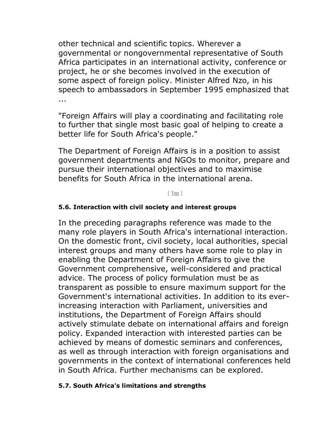other technical and scientific topics. Wherever a governmental or nongovernmental representative of South Africa participates in an international activity, conference or project, he or she becomes involved in the execution of some aspect of foreign policy. Minister Alfred Nzo, in his speech to ambassadors in September 1995 emphasized that ...

"Foreign Affairs will play a coordinating and facilitating role to further that single most basic goal of helping to create a better life for South Africa's people."

The Department of Foreign Affairs is in a position to assist government departments and NGOs to monitor, prepare and pursue their international objectives and to maximise benefits for South Africa in the international arena.

[ [Top](http://www.info.gov.za/greenpapers/1996/foraf1.htm#top) ]

#### **5.6. Interaction with civil society and interest groups**

In the preceding paragraphs reference was made to the many role players in South Africa's international interaction. On the domestic front, civil society, local authorities, special interest groups and many others have some role to play in enabling the Department of Foreign Affairs to give the Government comprehensive, well-considered and practical advice. The process of policy formulation must be as transparent as possible to ensure maximum support for the Government's international activities. In addition to its everincreasing interaction with Parliament, universities and institutions, the Department of Foreign Affairs should actively stimulate debate on international affairs and foreign policy. Expanded interaction with interested parties can be achieved by means of domestic seminars and conferences, as well as through interaction with foreign organisations and governments in the context of international conferences held in South Africa. Further mechanisms can be explored.

#### **5.7. South Africa's limitations and strengths**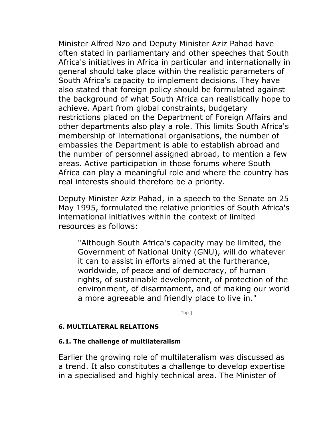Minister Alfred Nzo and Deputy Minister Aziz Pahad have often stated in parliamentary and other speeches that South Africa's initiatives in Africa in particular and internationally in general should take place within the realistic parameters of South Africa's capacity to implement decisions. They have also stated that foreign policy should be formulated against the background of what South Africa can realistically hope to achieve. Apart from global constraints, budgetary restrictions placed on the Department of Foreign Affairs and other departments also play a role. This limits South Africa's membership of international organisations, the number of embassies the Department is able to establish abroad and the number of personnel assigned abroad, to mention a few areas. Active participation in those forums where South Africa can play a meaningful role and where the country has real interests should therefore be a priority.

Deputy Minister Aziz Pahad, in a speech to the Senate on 25 May 1995, formulated the relative priorities of South Africa's international initiatives within the context of limited resources as follows:

"Although South Africa's capacity may be limited, the Government of National Unity (GNU), will do whatever it can to assist in efforts aimed at the furtherance, worldwide, of peace and of democracy, of human rights, of sustainable development, of protection of the environment, of disarmament, and of making our world a more agreeable and friendly place to live in."

[ [Top](http://www.info.gov.za/greenpapers/1996/foraf1.htm#top) ]

#### **6. MULTILATERAL RELATIONS**

#### **6.1. The challenge of multilateralism**

Earlier the growing role of multilateralism was discussed as a trend. It also constitutes a challenge to develop expertise in a specialised and highly technical area. The Minister of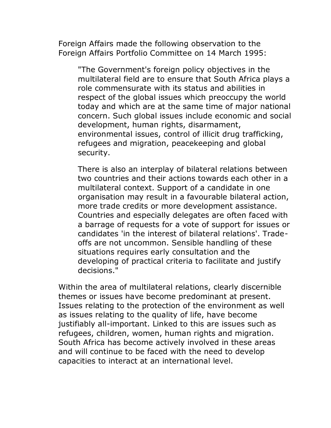Foreign Affairs made the following observation to the Foreign Affairs Portfolio Committee on 14 March 1995:

"The Government's foreign policy objectives in the multilateral field are to ensure that South Africa plays a role commensurate with its status and abilities in respect of the global issues which preoccupy the world today and which are at the same time of major national concern. Such global issues include economic and social development, human rights, disarmament, environmental issues, control of illicit drug trafficking, refugees and migration, peacekeeping and global security.

There is also an interplay of bilateral relations between two countries and their actions towards each other in a multilateral context. Support of a candidate in one organisation may result in a favourable bilateral action, more trade credits or more development assistance. Countries and especially delegates are often faced with a barrage of requests for a vote of support for issues or candidates 'in the interest of bilateral relations'. Tradeoffs are not uncommon. Sensible handling of these situations requires early consultation and the developing of practical criteria to facilitate and justify decisions."

Within the area of multilateral relations, clearly discernible themes or issues have become predominant at present. Issues relating to the protection of the environment as well as issues relating to the quality of life, have become justifiably all-important. Linked to this are issues such as refugees, children, women, human rights and migration. South Africa has become actively involved in these areas and will continue to be faced with the need to develop capacities to interact at an international level.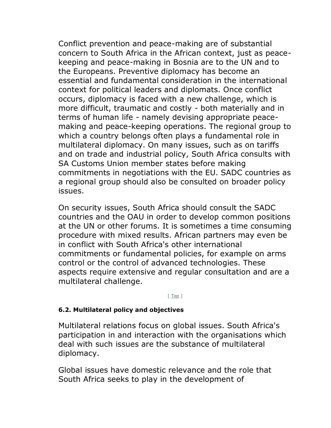Conflict prevention and peace-making are of substantial concern to South Africa in the African context, just as peacekeeping and peace-making in Bosnia are to the UN and to the Europeans. Preventive diplomacy has become an essential and fundamental consideration in the international context for political leaders and diplomats. Once conflict occurs, diplomacy is faced with a new challenge, which is more difficult, traumatic and costly - both materially and in terms of human life - namely devising appropriate peacemaking and peace-keeping operations. The regional group to which a country belongs often plays a fundamental role in multilateral diplomacy. On many issues, such as on tariffs and on trade and industrial policy, South Africa consults with SA Customs Union member states before making commitments in negotiations with the EU. SADC countries as a regional group should also be consulted on broader policy issues.

On security issues, South Africa should consult the SADC countries and the OAU in order to develop common positions at the UN or other forums. It is sometimes a time consuming procedure with mixed results. African partners may even be in conflict with South Africa's other international commitments or fundamental policies, for example on arms control or the control of advanced technologies. These aspects require extensive and regular consultation and are a multilateral challenge.

 $[$  [Top](http://www.info.gov.za/greenpapers/1996/foraf1.htm#top)  $]$ 

#### **6.2. Multilateral policy and objectives**

Multilateral relations focus on global issues. South Africa's participation in and interaction with the organisations which deal with such issues are the substance of multilateral diplomacy.

Global issues have domestic relevance and the role that South Africa seeks to play in the development of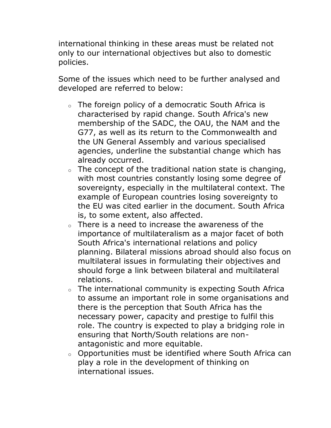international thinking in these areas must be related not only to our international objectives but also to domestic policies.

Some of the issues which need to be further analysed and developed are referred to below:

- $\circ$  The foreign policy of a democratic South Africa is characterised by rapid change. South Africa's new membership of the SADC, the OAU, the NAM and the G77, as well as its return to the Commonwealth and the UN General Assembly and various specialised agencies, underline the substantial change which has already occurred.
- $\circ$  The concept of the traditional nation state is changing, with most countries constantly losing some degree of sovereignty, especially in the multilateral context. The example of European countries losing sovereignty to the EU was cited earlier in the document. South Africa is, to some extent, also affected.
- $\circ$  There is a need to increase the awareness of the importance of multilateralism as a major facet of both South Africa's international relations and policy planning. Bilateral missions abroad should also focus on multilateral issues in formulating their objectives and should forge a link between bilateral and multilateral relations.
- o The international community is expecting South Africa to assume an important role in some organisations and there is the perception that South Africa has the necessary power, capacity and prestige to fulfil this role. The country is expected to play a bridging role in ensuring that North/South relations are nonantagonistic and more equitable.
- o Opportunities must be identified where South Africa can play a role in the development of thinking on international issues.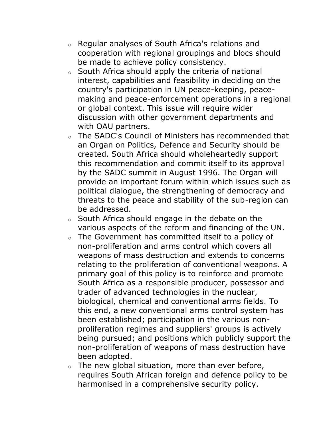- o Regular analyses of South Africa's relations and cooperation with regional groupings and blocs should be made to achieve policy consistency.
- o South Africa should apply the criteria of national interest, capabilities and feasibility in deciding on the country's participation in UN peace-keeping, peacemaking and peace-enforcement operations in a regional or global context. This issue will require wider discussion with other government departments and with OAU partners.
- o The SADC's Council of Ministers has recommended that an Organ on Politics, Defence and Security should be created. South Africa should wholeheartedly support this recommendation and commit itself to its approval by the SADC summit in August 1996. The Organ will provide an important forum within which issues such as political dialogue, the strengthening of democracy and threats to the peace and stability of the sub-region can be addressed.
- o South Africa should engage in the debate on the various aspects of the reform and financing of the UN.
- o The Government has committed itself to a policy of non-proliferation and arms control which covers all weapons of mass destruction and extends to concerns relating to the proliferation of conventional weapons. A primary goal of this policy is to reinforce and promote South Africa as a responsible producer, possessor and trader of advanced technologies in the nuclear, biological, chemical and conventional arms fields. To this end, a new conventional arms control system has been established; participation in the various nonproliferation regimes and suppliers' groups is actively being pursued; and positions which publicly support the non-proliferation of weapons of mass destruction have been adopted.
- $\circ$  The new global situation, more than ever before, requires South African foreign and defence policy to be harmonised in a comprehensive security policy.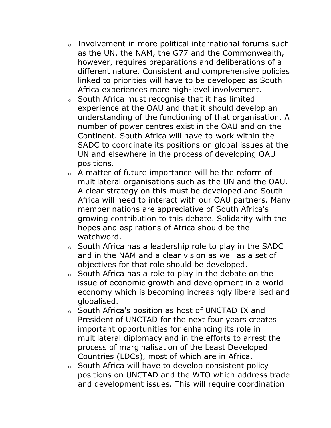- o Involvement in more political international forums such as the UN, the NAM, the G77 and the Commonwealth, however, requires preparations and deliberations of a different nature. Consistent and comprehensive policies linked to priorities will have to be developed as South Africa experiences more high-level involvement.
- $\circ$  South Africa must recognise that it has limited experience at the OAU and that it should develop an understanding of the functioning of that organisation. A number of power centres exist in the OAU and on the Continent. South Africa will have to work within the SADC to coordinate its positions on global issues at the UN and elsewhere in the process of developing OAU positions.
- o A matter of future importance will be the reform of multilateral organisations such as the UN and the OAU. A clear strategy on this must be developed and South Africa will need to interact with our OAU partners. Many member nations are appreciative of South Africa's growing contribution to this debate. Solidarity with the hopes and aspirations of Africa should be the watchword.
- o South Africa has a leadership role to play in the SADC and in the NAM and a clear vision as well as a set of objectives for that role should be developed.
- o South Africa has a role to play in the debate on the issue of economic growth and development in a world economy which is becoming increasingly liberalised and globalised.
- o South Africa's position as host of UNCTAD IX and President of UNCTAD for the next four years creates important opportunities for enhancing its role in multilateral diplomacy and in the efforts to arrest the process of marginalisation of the Least Developed Countries (LDCs), most of which are in Africa.
- o South Africa will have to develop consistent policy positions on UNCTAD and the WTO which address trade and development issues. This will require coordination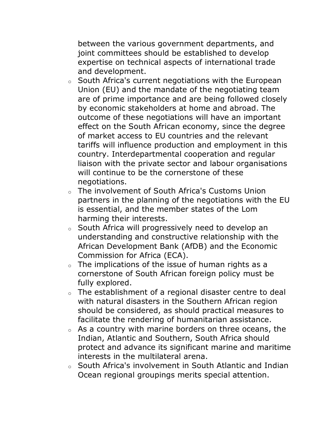between the various government departments, and joint committees should be established to develop expertise on technical aspects of international trade and development.

- o South Africa's current negotiations with the European Union (EU) and the mandate of the negotiating team are of prime importance and are being followed closely by economic stakeholders at home and abroad. The outcome of these negotiations will have an important effect on the South African economy, since the degree of market access to EU countries and the relevant tariffs will influence production and employment in this country. Interdepartmental cooperation and regular liaison with the private sector and labour organisations will continue to be the cornerstone of these negotiations.
- $\circ$  The involvement of South Africa's Customs Union partners in the planning of the negotiations with the EU is essential, and the member states of the Lom harming their interests.
- o South Africa will progressively need to develop an understanding and constructive relationship with the African Development Bank (AfDB) and the Economic Commission for Africa (ECA).
- $\circ$  The implications of the issue of human rights as a cornerstone of South African foreign policy must be fully explored.
- $\circ$  The establishment of a regional disaster centre to deal with natural disasters in the Southern African region should be considered, as should practical measures to facilitate the rendering of humanitarian assistance.
- o As a country with marine borders on three oceans, the Indian, Atlantic and Southern, South Africa should protect and advance its significant marine and maritime interests in the multilateral arena.
- o South Africa's involvement in South Atlantic and Indian Ocean regional groupings merits special attention.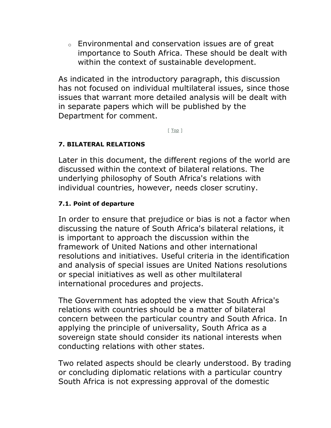$\circ$  Environmental and conservation issues are of great importance to South Africa. These should be dealt with within the context of sustainable development.

As indicated in the introductory paragraph, this discussion has not focused on individual multilateral issues, since those issues that warrant more detailed analysis will be dealt with in separate papers which will be published by the Department for comment.

[ [Top](http://www.info.gov.za/greenpapers/1996/foraf1.htm#top) ]

### **7. BILATERAL RELATIONS**

Later in this document, the different regions of the world are discussed within the context of bilateral relations. The underlying philosophy of South Africa's relations with individual countries, however, needs closer scrutiny.

#### **7.1. Point of departure**

In order to ensure that prejudice or bias is not a factor when discussing the nature of South Africa's bilateral relations, it is important to approach the discussion within the framework of United Nations and other international resolutions and initiatives. Useful criteria in the identification and analysis of special issues are United Nations resolutions or special initiatives as well as other multilateral international procedures and projects.

The Government has adopted the view that South Africa's relations with countries should be a matter of bilateral concern between the particular country and South Africa. In applying the principle of universality, South Africa as a sovereign state should consider its national interests when conducting relations with other states.

Two related aspects should be clearly understood. By trading or concluding diplomatic relations with a particular country South Africa is not expressing approval of the domestic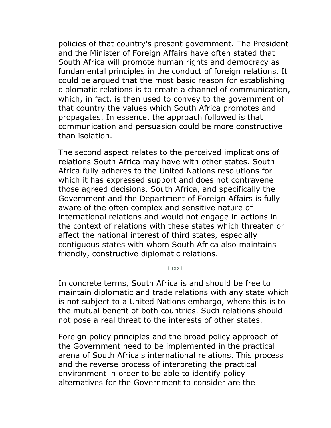policies of that country's present government. The President and the Minister of Foreign Affairs have often stated that South Africa will promote human rights and democracy as fundamental principles in the conduct of foreign relations. It could be argued that the most basic reason for establishing diplomatic relations is to create a channel of communication, which, in fact, is then used to convey to the government of that country the values which South Africa promotes and propagates. In essence, the approach followed is that communication and persuasion could be more constructive than isolation.

The second aspect relates to the perceived implications of relations South Africa may have with other states. South Africa fully adheres to the United Nations resolutions for which it has expressed support and does not contravene those agreed decisions. South Africa, and specifically the Government and the Department of Foreign Affairs is fully aware of the often complex and sensitive nature of international relations and would not engage in actions in the context of relations with these states which threaten or affect the national interest of third states, especially contiguous states with whom South Africa also maintains friendly, constructive diplomatic relations.

[ [Top](http://www.info.gov.za/greenpapers/1996/foraf1.htm#top) ]

In concrete terms, South Africa is and should be free to maintain diplomatic and trade relations with any state which is not subject to a United Nations embargo, where this is to the mutual benefit of both countries. Such relations should not pose a real threat to the interests of other states.

Foreign policy principles and the broad policy approach of the Government need to be implemented in the practical arena of South Africa's international relations. This process and the reverse process of interpreting the practical environment in order to be able to identify policy alternatives for the Government to consider are the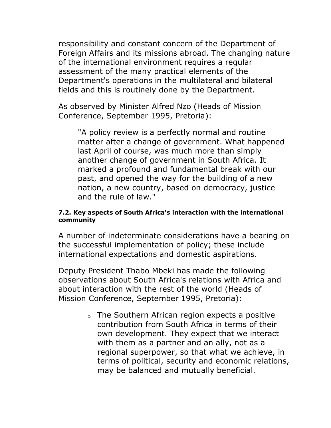responsibility and constant concern of the Department of Foreign Affairs and its missions abroad. The changing nature of the international environment requires a regular assessment of the many practical elements of the Department's operations in the multilateral and bilateral fields and this is routinely done by the Department.

As observed by Minister Alfred Nzo (Heads of Mission Conference, September 1995, Pretoria):

"A policy review is a perfectly normal and routine matter after a change of government. What happened last April of course, was much more than simply another change of government in South Africa. It marked a profound and fundamental break with our past, and opened the way for the building of a new nation, a new country, based on democracy, justice and the rule of law."

#### **7.2. Key aspects of South Africa's interaction with the international community**

A number of indeterminate considerations have a bearing on the successful implementation of policy; these include international expectations and domestic aspirations.

Deputy President Thabo Mbeki has made the following observations about South Africa's relations with Africa and about interaction with the rest of the world (Heads of Mission Conference, September 1995, Pretoria):

> o The Southern African region expects a positive contribution from South Africa in terms of their own development. They expect that we interact with them as a partner and an ally, not as a regional superpower, so that what we achieve, in terms of political, security and economic relations, may be balanced and mutually beneficial.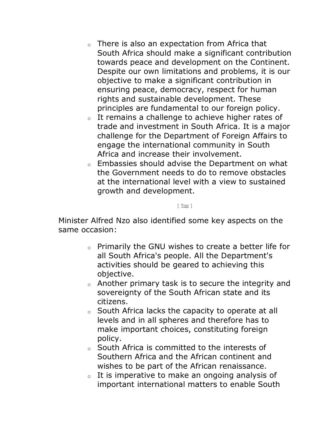- o There is also an expectation from Africa that South Africa should make a significant contribution towards peace and development on the Continent. Despite our own limitations and problems, it is our objective to make a significant contribution in ensuring peace, democracy, respect for human rights and sustainable development. These principles are fundamental to our foreign policy.
- o It remains a challenge to achieve higher rates of trade and investment in South Africa. It is a major challenge for the Department of Foreign Affairs to engage the international community in South Africa and increase their involvement.
- o Embassies should advise the Department on what the Government needs to do to remove obstacles at the international level with a view to sustained growth and development.

[ [Top](http://www.info.gov.za/greenpapers/1996/foraf1.htm#top) ]

Minister Alfred Nzo also identified some key aspects on the same occasion:

- o Primarily the GNU wishes to create a better life for all South Africa's people. All the Department's activities should be geared to achieving this objective.
- o Another primary task is to secure the integrity and sovereignty of the South African state and its citizens.
- o South Africa lacks the capacity to operate at all levels and in all spheres and therefore has to make important choices, constituting foreign policy.
- o South Africa is committed to the interests of Southern Africa and the African continent and wishes to be part of the African renaissance.
- $\circ$  It is imperative to make an ongoing analysis of important international matters to enable South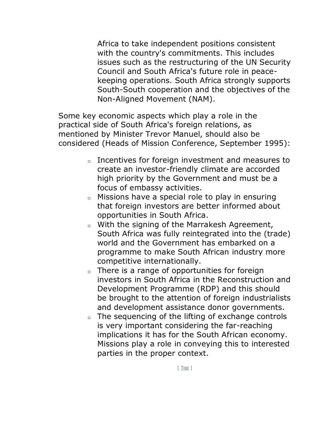Africa to take independent positions consistent with the country's commitments. This includes issues such as the restructuring of the UN Security Council and South Africa's future role in peacekeeping operations. South Africa strongly supports South-South cooperation and the objectives of the Non-Aligned Movement (NAM).

Some key economic aspects which play a role in the practical side of South Africa's foreign relations, as mentioned by Minister Trevor Manuel, should also be considered (Heads of Mission Conference, September 1995):

- o Incentives for foreign investment and measures to create an investor-friendly climate are accorded high priority by the Government and must be a focus of embassy activities.
- o Missions have a special role to play in ensuring that foreign investors are better informed about opportunities in South Africa.
- o With the signing of the Marrakesh Agreement, South Africa was fully reintegrated into the (trade) world and the Government has embarked on a programme to make South African industry more competitive internationally.
- $\circ$  There is a range of opportunities for foreign investors in South Africa in the Reconstruction and Development Programme (RDP) and this should be brought to the attention of foreign industrialists and development assistance donor governments.
- o The sequencing of the lifting of exchange controls is very important considering the far-reaching implications it has for the South African economy. Missions play a role in conveying this to interested parties in the proper context.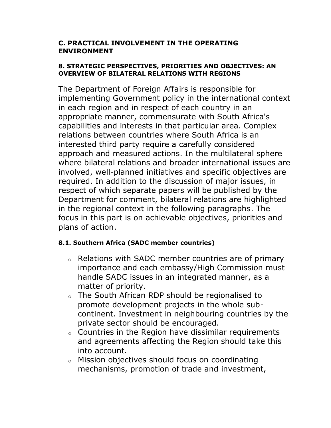## **C. PRACTICAL INVOLVEMENT IN THE OPERATING ENVIRONMENT**

### **8. STRATEGIC PERSPECTIVES, PRIORITIES AND OBJECTIVES: AN OVERVIEW OF BILATERAL RELATIONS WITH REGIONS**

The Department of Foreign Affairs is responsible for implementing Government policy in the international context in each region and in respect of each country in an appropriate manner, commensurate with South Africa's capabilities and interests in that particular area. Complex relations between countries where South Africa is an interested third party require a carefully considered approach and measured actions. In the multilateral sphere where bilateral relations and broader international issues are involved, well-planned initiatives and specific objectives are required. In addition to the discussion of major issues, in respect of which separate papers will be published by the Department for comment, bilateral relations are highlighted in the regional context in the following paragraphs. The focus in this part is on achievable objectives, priorities and plans of action.

# **8.1. Southern Africa (SADC member countries)**

- o Relations with SADC member countries are of primary importance and each embassy/High Commission must handle SADC issues in an integrated manner, as a matter of priority.
- o The South African RDP should be regionalised to promote development projects in the whole subcontinent. Investment in neighbouring countries by the private sector should be encouraged.
- o Countries in the Region have dissimilar requirements and agreements affecting the Region should take this into account.
- o Mission objectives should focus on coordinating mechanisms, promotion of trade and investment,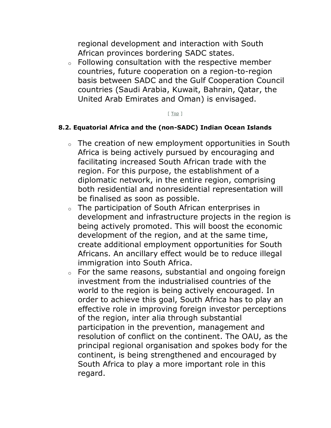regional development and interaction with South African provinces bordering SADC states.

o Following consultation with the respective member countries, future cooperation on a region-to-region basis between SADC and the Gulf Cooperation Council countries (Saudi Arabia, Kuwait, Bahrain, Qatar, the United Arab Emirates and Oman) is envisaged.

 $[$  [Top](http://www.info.gov.za/greenpapers/1996/foraf1.htm#top)  $]$ 

#### **8.2. Equatorial Africa and the (non-SADC) Indian Ocean Islands**

- $\circ$  The creation of new employment opportunities in South Africa is being actively pursued by encouraging and facilitating increased South African trade with the region. For this purpose, the establishment of a diplomatic network, in the entire region, comprising both residential and nonresidential representation will be finalised as soon as possible.
- o The participation of South African enterprises in development and infrastructure projects in the region is being actively promoted. This will boost the economic development of the region, and at the same time, create additional employment opportunities for South Africans. An ancillary effect would be to reduce illegal immigration into South Africa.
- o For the same reasons, substantial and ongoing foreign investment from the industrialised countries of the world to the region is being actively encouraged. In order to achieve this goal, South Africa has to play an effective role in improving foreign investor perceptions of the region, inter alia through substantial participation in the prevention, management and resolution of conflict on the continent. The OAU, as the principal regional organisation and spokes body for the continent, is being strengthened and encouraged by South Africa to play a more important role in this regard.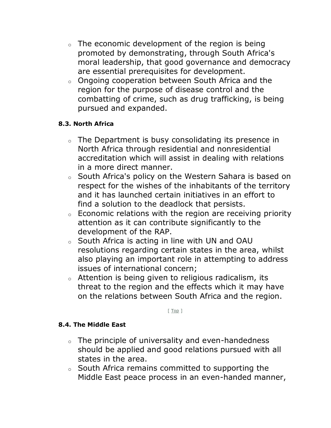- $\circ$  The economic development of the region is being promoted by demonstrating, through South Africa's moral leadership, that good governance and democracy are essential prerequisites for development.
- $\circ$  Ongoing cooperation between South Africa and the region for the purpose of disease control and the combatting of crime, such as drug trafficking, is being pursued and expanded.

# **8.3. North Africa**

- o The Department is busy consolidating its presence in North Africa through residential and nonresidential accreditation which will assist in dealing with relations in a more direct manner.
- o South Africa's policy on the Western Sahara is based on respect for the wishes of the inhabitants of the territory and it has launched certain initiatives in an effort to find a solution to the deadlock that persists.
- $\circ$  Economic relations with the region are receiving priority attention as it can contribute significantly to the development of the RAP.
- o South Africa is acting in line with UN and OAU resolutions regarding certain states in the area, whilst also playing an important role in attempting to address issues of international concern;
- o Attention is being given to religious radicalism, its threat to the region and the effects which it may have on the relations between South Africa and the region.

[ [Top](http://www.info.gov.za/greenpapers/1996/foraf1.htm#top) ]

### **8.4. The Middle East**

- o The principle of universality and even-handedness should be applied and good relations pursued with all states in the area.
- o South Africa remains committed to supporting the Middle East peace process in an even-handed manner,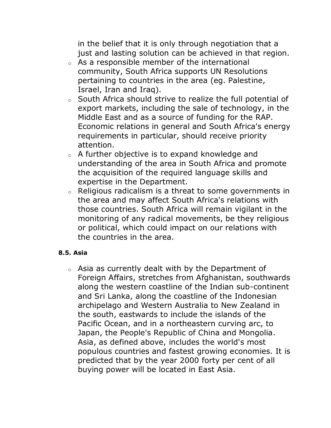in the belief that it is only through negotiation that a just and lasting solution can be achieved in that region.

- o As a responsible member of the international community, South Africa supports UN Resolutions pertaining to countries in the area (eg. Palestine, Israel, Iran and Iraq).
- o South Africa should strive to realize the full potential of export markets, including the sale of technology, in the Middle East and as a source of funding for the RAP. Economic relations in general and South Africa's energy requirements in particular, should receive priority attention.
- o A further objective is to expand knowledge and understanding of the area in South Africa and promote the acquisition of the required language skills and expertise in the Department.
- o Religious radicalism is a threat to some governments in the area and may affect South Africa's relations with those countries. South Africa will remain vigilant in the monitoring of any radical movements, be they religious or political, which could impact on our relations with the countries in the area.

# **8.5. Asia**

o Asia as currently dealt with by the Department of Foreign Affairs, stretches from Afghanistan, southwards along the western coastline of the Indian sub-continent and Sri Lanka, along the coastline of the Indonesian archipelago and Western Australia to New Zealand in the south, eastwards to include the islands of the Pacific Ocean, and in a northeastern curving arc, to Japan, the People's Republic of China and Mongolia. Asia, as defined above, includes the world's most populous countries and fastest growing economies. It is predicted that by the year 2000 forty per cent of all buying power will be located in East Asia.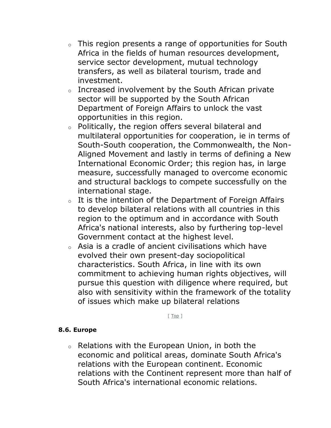- o This region presents a range of opportunities for South Africa in the fields of human resources development, service sector development, mutual technology transfers, as well as bilateral tourism, trade and investment.
- o Increased involvement by the South African private sector will be supported by the South African Department of Foreign Affairs to unlock the vast opportunities in this region.
- o Politically, the region offers several bilateral and multilateral opportunities for cooperation, ie in terms of South-South cooperation, the Commonwealth, the Non-Aligned Movement and lastly in terms of defining a New International Economic Order; this region has, in large measure, successfully managed to overcome economic and structural backlogs to compete successfully on the international stage.
- o It is the intention of the Department of Foreign Affairs to develop bilateral relations with all countries in this region to the optimum and in accordance with South Africa's national interests, also by furthering top-level Government contact at the highest level.
- $\circ$  Asia is a cradle of ancient civilisations which have evolved their own present-day sociopolitical characteristics. South Africa, in line with its own commitment to achieving human rights objectives, will pursue this question with diligence where required, but also with sensitivity within the framework of the totality of issues which make up bilateral relations

[ [Top](http://www.info.gov.za/greenpapers/1996/foraf1.htm#top) ]

### **8.6. Europe**

o Relations with the European Union, in both the economic and political areas, dominate South Africa's relations with the European continent. Economic relations with the Continent represent more than half of South Africa's international economic relations.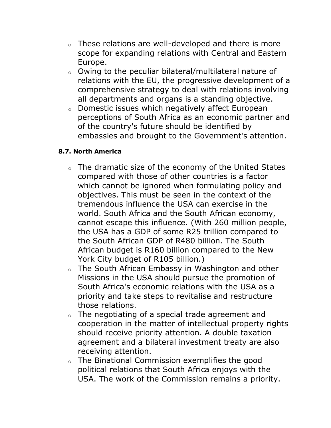- $\circ$  These relations are well-developed and there is more scope for expanding relations with Central and Eastern Europe.
- o Owing to the peculiar bilateral/multilateral nature of relations with the EU, the progressive development of a comprehensive strategy to deal with relations involving all departments and organs is a standing objective.
- o Domestic issues which negatively affect European perceptions of South Africa as an economic partner and of the country's future should be identified by embassies and brought to the Government's attention.

# **8.7. North America**

- $\circ$  The dramatic size of the economy of the United States compared with those of other countries is a factor which cannot be ignored when formulating policy and objectives. This must be seen in the context of the tremendous influence the USA can exercise in the world. South Africa and the South African economy, cannot escape this influence. (With 260 million people, the USA has a GDP of some R25 trillion compared to the South African GDP of R480 billion. The South African budget is R160 billion compared to the New York City budget of R105 billion.)
- o The South African Embassy in Washington and other Missions in the USA should pursue the promotion of South Africa's economic relations with the USA as a priority and take steps to revitalise and restructure those relations.
- o The negotiating of a special trade agreement and cooperation in the matter of intellectual property rights should receive priority attention. A double taxation agreement and a bilateral investment treaty are also receiving attention.
- o The Binational Commission exemplifies the good political relations that South Africa enjoys with the USA. The work of the Commission remains a priority.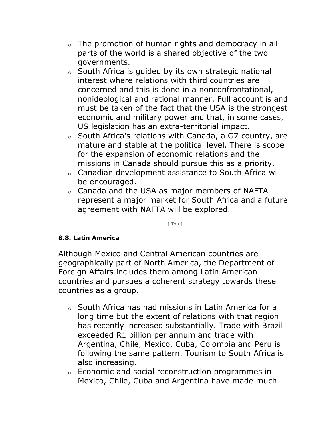- $\circ$  The promotion of human rights and democracy in all parts of the world is a shared objective of the two governments.
- o South Africa is guided by its own strategic national interest where relations with third countries are concerned and this is done in a nonconfrontational, nonideological and rational manner. Full account is and must be taken of the fact that the USA is the strongest economic and military power and that, in some cases, US legislation has an extra-territorial impact.
- o South Africa's relations with Canada, a G7 country, are mature and stable at the political level. There is scope for the expansion of economic relations and the missions in Canada should pursue this as a priority.
- o Canadian development assistance to South Africa will be encouraged.
- o Canada and the USA as major members of NAFTA represent a major market for South Africa and a future agreement with NAFTA will be explored.

[ [Top](http://www.info.gov.za/greenpapers/1996/foraf1.htm#top) ]

### **8.8. Latin America**

Although Mexico and Central American countries are geographically part of North America, the Department of Foreign Affairs includes them among Latin American countries and pursues a coherent strategy towards these countries as a group.

- $\circ$  South Africa has had missions in Latin America for a long time but the extent of relations with that region has recently increased substantially. Trade with Brazil exceeded R1 billion per annum and trade with Argentina, Chile, Mexico, Cuba, Colombia and Peru is following the same pattern. Tourism to South Africa is also increasing.
- o Economic and social reconstruction programmes in Mexico, Chile, Cuba and Argentina have made much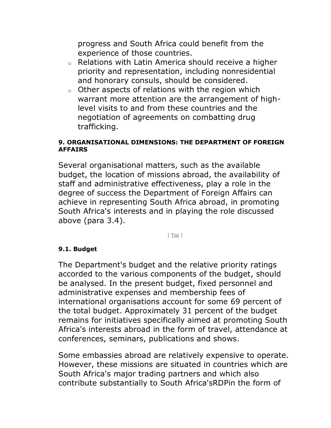progress and South Africa could benefit from the experience of those countries.

- o Relations with Latin America should receive a higher priority and representation, including nonresidential and honorary consuls, should be considered.
- $\circ$  Other aspects of relations with the region which warrant more attention are the arrangement of highlevel visits to and from these countries and the negotiation of agreements on combatting drug trafficking.

### **9. ORGANISATIONAL DIMENSIONS: THE DEPARTMENT OF FOREIGN AFFAIRS**

Several organisational matters, such as the available budget, the location of missions abroad, the availability of staff and administrative effectiveness, play a role in the degree of success the Department of Foreign Affairs can achieve in representing South Africa abroad, in promoting South Africa's interests and in playing the role discussed above (para 3.4).

 $[$  [Top](http://www.info.gov.za/greenpapers/1996/foraf1.htm#top)  $]$ 

# **9.1. Budget**

The Department's budget and the relative priority ratings accorded to the various components of the budget, should be analysed. In the present budget, fixed personnel and administrative expenses and membership fees of international organisations account for some 69 percent of the total budget. Approximately 31 percent of the budget remains for initiatives specifically aimed at promoting South Africa's interests abroad in the form of travel, attendance at conferences, seminars, publications and shows.

Some embassies abroad are relatively expensive to operate. However, these missions are situated in countries which are South Africa's major trading partners and which also contribute substantially to South Africa'sRDPin the form of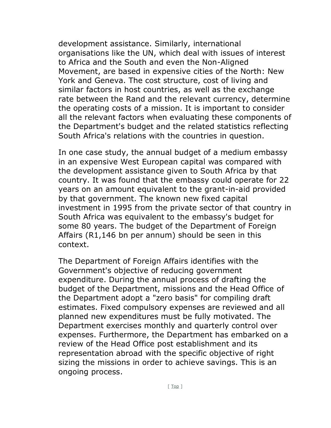development assistance. Similarly, international organisations like the UN, which deal with issues of interest to Africa and the South and even the Non-Aligned Movement, are based in expensive cities of the North: New York and Geneva. The cost structure, cost of living and similar factors in host countries, as well as the exchange rate between the Rand and the relevant currency, determine the operating costs of a mission. It is important to consider all the relevant factors when evaluating these components of the Department's budget and the related statistics reflecting South Africa's relations with the countries in question.

In one case study, the annual budget of a medium embassy in an expensive West European capital was compared with the development assistance given to South Africa by that country. It was found that the embassy could operate for 22 years on an amount equivalent to the grant-in-aid provided by that government. The known new fixed capital investment in 1995 from the private sector of that country in South Africa was equivalent to the embassy's budget for some 80 years. The budget of the Department of Foreign Affairs (R1,146 bn per annum) should be seen in this context.

The Department of Foreign Affairs identifies with the Government's objective of reducing government expenditure. During the annual process of drafting the budget of the Department, missions and the Head Office of the Department adopt a "zero basis" for compiling draft estimates. Fixed compulsory expenses are reviewed and all planned new expenditures must be fully motivated. The Department exercises monthly and quarterly control over expenses. Furthermore, the Department has embarked on a review of the Head Office post establishment and its representation abroad with the specific objective of right sizing the missions in order to achieve savings. This is an ongoing process.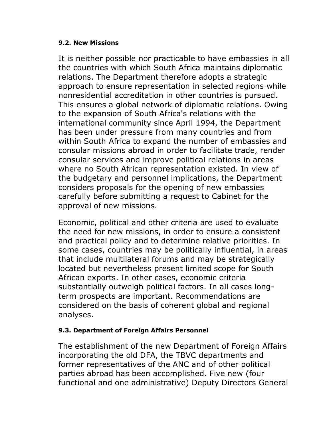#### **9.2. New Missions**

It is neither possible nor practicable to have embassies in all the countries with which South Africa maintains diplomatic relations. The Department therefore adopts a strategic approach to ensure representation in selected regions while nonresidential accreditation in other countries is pursued. This ensures a global network of diplomatic relations. Owing to the expansion of South Africa's relations with the international community since April 1994, the Department has been under pressure from many countries and from within South Africa to expand the number of embassies and consular missions abroad in order to facilitate trade, render consular services and improve political relations in areas where no South African representation existed. In view of the budgetary and personnel implications, the Department considers proposals for the opening of new embassies carefully before submitting a request to Cabinet for the approval of new missions.

Economic, political and other criteria are used to evaluate the need for new missions, in order to ensure a consistent and practical policy and to determine relative priorities. In some cases, countries may be politically influential, in areas that include multilateral forums and may be strategically located but nevertheless present limited scope for South African exports. In other cases, economic criteria substantially outweigh political factors. In all cases longterm prospects are important. Recommendations are considered on the basis of coherent global and regional analyses.

### **9.3. Department of Foreign Affairs Personnel**

The establishment of the new Department of Foreign Affairs incorporating the old DFA, the TBVC departments and former representatives of the ANC and of other political parties abroad has been accomplished. Five new (four functional and one administrative) Deputy Directors General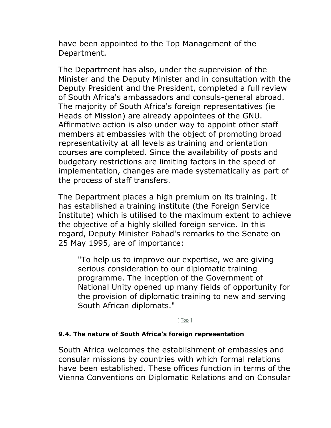have been appointed to the Top Management of the Department.

The Department has also, under the supervision of the Minister and the Deputy Minister and in consultation with the Deputy President and the President, completed a full review of South Africa's ambassadors and consuls-general abroad. The majority of South Africa's foreign representatives (ie Heads of Mission) are already appointees of the GNU. Affirmative action is also under way to appoint other staff members at embassies with the object of promoting broad representativity at all levels as training and orientation courses are completed. Since the availability of posts and budgetary restrictions are limiting factors in the speed of implementation, changes are made systematically as part of the process of staff transfers.

The Department places a high premium on its training. It has established a training institute (the Foreign Service Institute) which is utilised to the maximum extent to achieve the objective of a highly skilled foreign service. In this regard, Deputy Minister Pahad's remarks to the Senate on 25 May 1995, are of importance:

"To help us to improve our expertise, we are giving serious consideration to our diplomatic training programme. The inception of the Government of National Unity opened up many fields of opportunity for the provision of diplomatic training to new and serving South African diplomats."

[ [Top](http://www.info.gov.za/greenpapers/1996/foraf1.htm#top) ]

#### **9.4. The nature of South Africa's foreign representation**

South Africa welcomes the establishment of embassies and consular missions by countries with which formal relations have been established. These offices function in terms of the Vienna Conventions on Diplomatic Relations and on Consular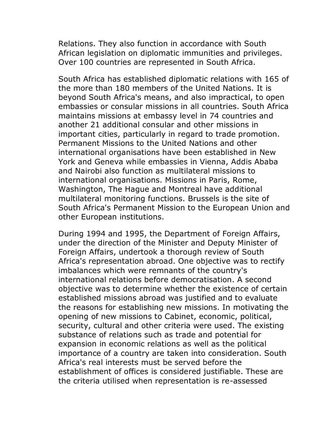Relations. They also function in accordance with South African legislation on diplomatic immunities and privileges. Over 100 countries are represented in South Africa.

South Africa has established diplomatic relations with 165 of the more than 180 members of the United Nations. It is beyond South Africa's means, and also impractical, to open embassies or consular missions in all countries. South Africa maintains missions at embassy level in 74 countries and another 21 additional consular and other missions in important cities, particularly in regard to trade promotion. Permanent Missions to the United Nations and other international organisations have been established in New York and Geneva while embassies in Vienna, Addis Ababa and Nairobi also function as multilateral missions to international organisations. Missions in Paris, Rome, Washington, The Hague and Montreal have additional multilateral monitoring functions. Brussels is the site of South Africa's Permanent Mission to the European Union and other European institutions.

During 1994 and 1995, the Department of Foreign Affairs, under the direction of the Minister and Deputy Minister of Foreign Affairs, undertook a thorough review of South Africa's representation abroad. One objective was to rectify imbalances which were remnants of the country's international relations before democratisation. A second objective was to determine whether the existence of certain established missions abroad was justified and to evaluate the reasons for establishing new missions. In motivating the opening of new missions to Cabinet, economic, political, security, cultural and other criteria were used. The existing substance of relations such as trade and potential for expansion in economic relations as well as the political importance of a country are taken into consideration. South Africa's real interests must be served before the establishment of offices is considered justifiable. These are the criteria utilised when representation is re-assessed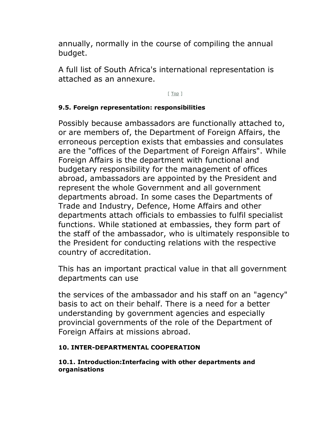annually, normally in the course of compiling the annual budget.

A full list of South Africa's international representation is attached as an annexure.

[ [Top](http://www.info.gov.za/greenpapers/1996/foraf1.htm#top) ]

#### **9.5. Foreign representation: responsibilities**

Possibly because ambassadors are functionally attached to, or are members of, the Department of Foreign Affairs, the erroneous perception exists that embassies and consulates are the "offices of the Department of Foreign Affairs". While Foreign Affairs is the department with functional and budgetary responsibility for the management of offices abroad, ambassadors are appointed by the President and represent the whole Government and all government departments abroad. In some cases the Departments of Trade and Industry, Defence, Home Affairs and other departments attach officials to embassies to fulfil specialist functions. While stationed at embassies, they form part of the staff of the ambassador, who is ultimately responsible to the President for conducting relations with the respective country of accreditation.

This has an important practical value in that all government departments can use

the services of the ambassador and his staff on an "agency" basis to act on their behalf. There is a need for a better understanding by government agencies and especially provincial governments of the role of the Department of Foreign Affairs at missions abroad.

#### **10. INTER-DEPARTMENTAL COOPERATION**

**10.1. Introduction:Interfacing with other departments and organisations**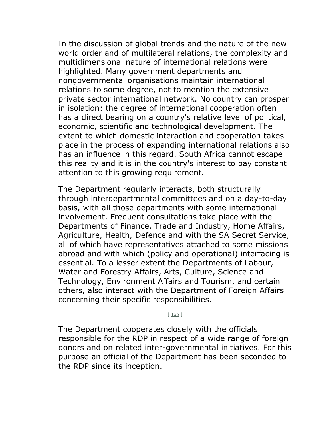In the discussion of global trends and the nature of the new world order and of multilateral relations, the complexity and multidimensional nature of international relations were highlighted. Many government departments and nongovernmental organisations maintain international relations to some degree, not to mention the extensive private sector international network. No country can prosper in isolation: the degree of international cooperation often has a direct bearing on a country's relative level of political, economic, scientific and technological development. The extent to which domestic interaction and cooperation takes place in the process of expanding international relations also has an influence in this regard. South Africa cannot escape this reality and it is in the country's interest to pay constant attention to this growing requirement.

The Department regularly interacts, both structurally through interdepartmental committees and on a day-to-day basis, with all those departments with some international involvement. Frequent consultations take place with the Departments of Finance, Trade and Industry, Home Affairs, Agriculture, Health, Defence and with the SA Secret Service, all of which have representatives attached to some missions abroad and with which (policy and operational) interfacing is essential. To a lesser extent the Departments of Labour, Water and Forestry Affairs, Arts, Culture, Science and Technology, Environment Affairs and Tourism, and certain others, also interact with the Department of Foreign Affairs concerning their specific responsibilities.

[ [Top](http://www.info.gov.za/greenpapers/1996/foraf1.htm#top) ]

The Department cooperates closely with the officials responsible for the RDP in respect of a wide range of foreign donors and on related inter-governmental initiatives. For this purpose an official of the Department has been seconded to the RDP since its inception.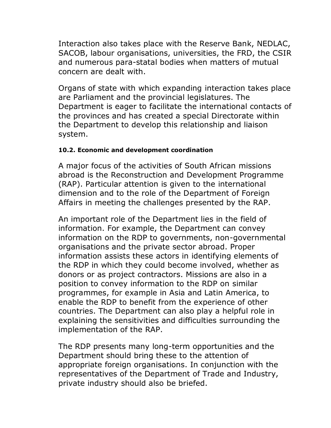Interaction also takes place with the Reserve Bank, NEDLAC, SACOB, labour organisations, universities, the FRD, the CSIR and numerous para-statal bodies when matters of mutual concern are dealt with.

Organs of state with which expanding interaction takes place are Parliament and the provincial legislatures. The Department is eager to facilitate the international contacts of the provinces and has created a special Directorate within the Department to develop this relationship and liaison system.

## **10.2. Economic and development coordination**

A major focus of the activities of South African missions abroad is the Reconstruction and Development Programme (RAP). Particular attention is given to the international dimension and to the role of the Department of Foreign Affairs in meeting the challenges presented by the RAP.

An important role of the Department lies in the field of information. For example, the Department can convey information on the RDP to governments, non-governmental organisations and the private sector abroad. Proper information assists these actors in identifying elements of the RDP in which they could become involved, whether as donors or as project contractors. Missions are also in a position to convey information to the RDP on similar programmes, for example in Asia and Latin America, to enable the RDP to benefit from the experience of other countries. The Department can also play a helpful role in explaining the sensitivities and difficulties surrounding the implementation of the RAP.

The RDP presents many long-term opportunities and the Department should bring these to the attention of appropriate foreign organisations. In conjunction with the representatives of the Department of Trade and Industry, private industry should also be briefed.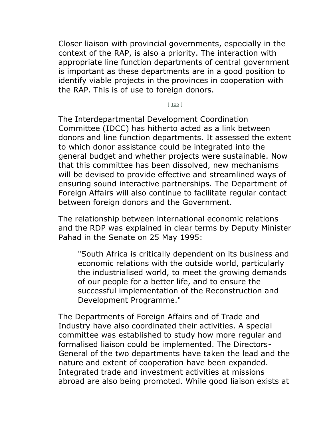Closer liaison with provincial governments, especially in the context of the RAP, is also a priority. The interaction with appropriate line function departments of central government is important as these departments are in a good position to identify viable projects in the provinces in cooperation with the RAP. This is of use to foreign donors.

[ [Top](http://www.info.gov.za/greenpapers/1996/foraf1.htm#top) ]

The Interdepartmental Development Coordination Committee (IDCC) has hitherto acted as a link between donors and line function departments. It assessed the extent to which donor assistance could be integrated into the general budget and whether projects were sustainable. Now that this committee has been dissolved, new mechanisms will be devised to provide effective and streamlined ways of ensuring sound interactive partnerships. The Department of Foreign Affairs will also continue to facilitate regular contact between foreign donors and the Government.

The relationship between international economic relations and the RDP was explained in clear terms by Deputy Minister Pahad in the Senate on 25 May 1995:

"South Africa is critically dependent on its business and economic relations with the outside world, particularly the industrialised world, to meet the growing demands of our people for a better life, and to ensure the successful implementation of the Reconstruction and Development Programme."

The Departments of Foreign Affairs and of Trade and Industry have also coordinated their activities. A special committee was established to study how more regular and formalised liaison could be implemented. The Directors-General of the two departments have taken the lead and the nature and extent of cooperation have been expanded. Integrated trade and investment activities at missions abroad are also being promoted. While good liaison exists at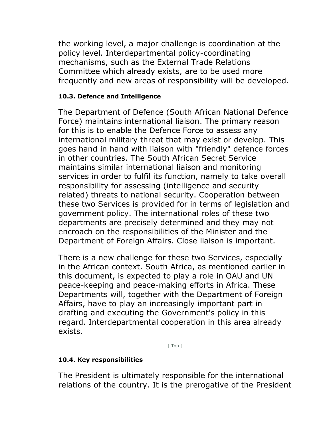the working level, a major challenge is coordination at the policy level. Interdepartmental policy-coordinating mechanisms, such as the External Trade Relations Committee which already exists, are to be used more frequently and new areas of responsibility will be developed.

## **10.3. Defence and Intelligence**

The Department of Defence (South African National Defence Force) maintains international liaison. The primary reason for this is to enable the Defence Force to assess any international military threat that may exist or develop. This goes hand in hand with liaison with "friendly" defence forces in other countries. The South African Secret Service maintains similar international liaison and monitoring services in order to fulfil its function, namely to take overall responsibility for assessing (intelligence and security related) threats to national security. Cooperation between these two Services is provided for in terms of legislation and government policy. The international roles of these two departments are precisely determined and they may not encroach on the responsibilities of the Minister and the Department of Foreign Affairs. Close liaison is important.

There is a new challenge for these two Services, especially in the African context. South Africa, as mentioned earlier in this document, is expected to play a role in OAU and UN peace-keeping and peace-making efforts in Africa. These Departments will, together with the Department of Foreign Affairs, have to play an increasingly important part in drafting and executing the Government's policy in this regard. Interdepartmental cooperation in this area already exists.

[ [Top](http://www.info.gov.za/greenpapers/1996/foraf1.htm#top) ]

#### **10.4. Key responsibilities**

The President is ultimately responsible for the international relations of the country. It is the prerogative of the President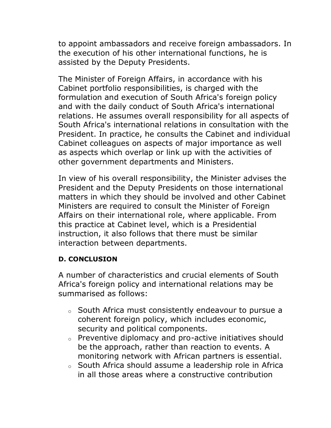to appoint ambassadors and receive foreign ambassadors. In the execution of his other international functions, he is assisted by the Deputy Presidents.

The Minister of Foreign Affairs, in accordance with his Cabinet portfolio responsibilities, is charged with the formulation and execution of South Africa's foreign policy and with the daily conduct of South Africa's international relations. He assumes overall responsibility for all aspects of South Africa's international relations in consultation with the President. In practice, he consults the Cabinet and individual Cabinet colleagues on aspects of major importance as well as aspects which overlap or link up with the activities of other government departments and Ministers.

In view of his overall responsibility, the Minister advises the President and the Deputy Presidents on those international matters in which they should be involved and other Cabinet Ministers are required to consult the Minister of Foreign Affairs on their international role, where applicable. From this practice at Cabinet level, which is a Presidential instruction, it also follows that there must be similar interaction between departments.

# **D. CONCLUSION**

A number of characteristics and crucial elements of South Africa's foreign policy and international relations may be summarised as follows:

- o South Africa must consistently endeavour to pursue a coherent foreign policy, which includes economic, security and political components.
- o Preventive diplomacy and pro-active initiatives should be the approach, rather than reaction to events. A monitoring network with African partners is essential.
- o South Africa should assume a leadership role in Africa in all those areas where a constructive contribution